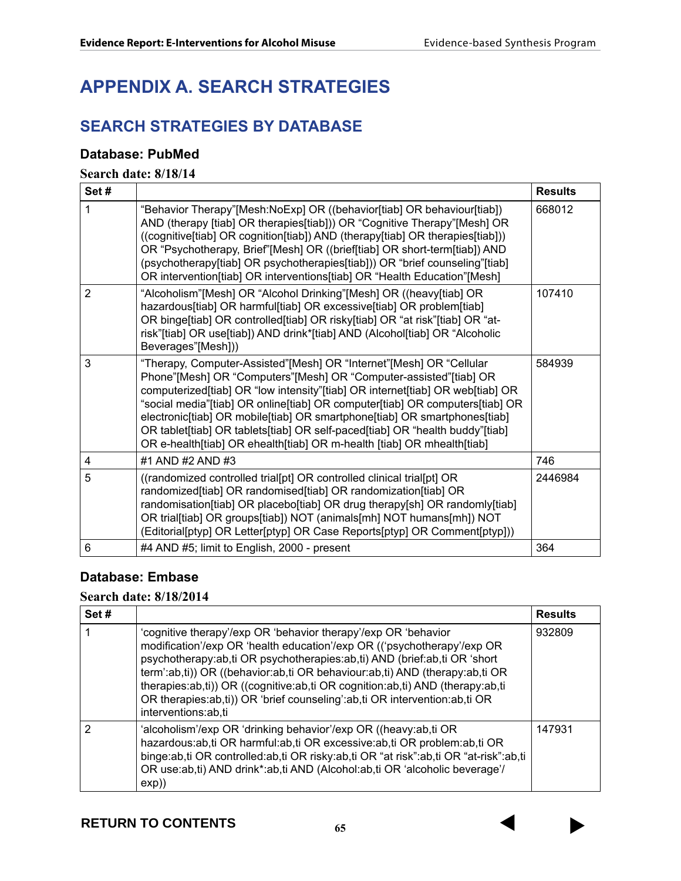# **APPENDIX A. SEARCH STRATEGIES**

# **SEARCH STRATEGIES BY DATABASE**

#### **Database: PubMed**

#### **Search date: 8/18/14**

| Set#           |                                                                                                                                                                                                                                                                                                                                                                                                                                                                                                                                                  | <b>Results</b> |
|----------------|--------------------------------------------------------------------------------------------------------------------------------------------------------------------------------------------------------------------------------------------------------------------------------------------------------------------------------------------------------------------------------------------------------------------------------------------------------------------------------------------------------------------------------------------------|----------------|
| 1              | "Behavior Therapy"[Mesh:NoExp] OR ((behavior[tiab] OR behaviour[tiab])<br>AND (therapy [tiab] OR therapies[tiab])) OR "Cognitive Therapy"[Mesh] OR<br>((cognitive[tiab] OR cognition[tiab]) AND (therapy[tiab] OR therapies[tiab]))<br>OR "Psychotherapy, Brief"[Mesh] OR ((brief[tiab] OR short-term[tiab]) AND<br>(psychotherapy[tiab] OR psychotherapies[tiab])) OR "brief counseling"[tiab]<br>OR intervention[tiab] OR interventions[tiab] OR "Health Education"[Mesh]                                                                      | 668012         |
| $\overline{2}$ | "Alcoholism"[Mesh] OR "Alcohol Drinking"[Mesh] OR ((heavy[tiab] OR<br>hazardous[tiab] OR harmful[tiab] OR excessive[tiab] OR problem[tiab]<br>OR binge[tiab] OR controlled[tiab] OR risky[tiab] OR "at risk"[tiab] OR "at-<br>risk"[tiab] OR use[tiab]) AND drink*[tiab] AND (Alcohol[tiab] OR "Alcoholic<br>Beverages"[Mesh]))                                                                                                                                                                                                                  | 107410         |
| 3              | "Therapy, Computer-Assisted"[Mesh] OR "Internet"[Mesh] OR "Cellular<br>Phone"[Mesh] OR "Computers"[Mesh] OR "Computer-assisted"[tiab] OR<br>computerized[tiab] OR "low intensity"[tiab] OR internet[tiab] OR web[tiab] OR<br>"social media"[tiab] OR online[tiab] OR computer[tiab] OR computers[tiab] OR<br>electronic[tiab] OR mobile[tiab] OR smartphone[tiab] OR smartphones[tiab]<br>OR tablet[tiab] OR tablets[tiab] OR self-paced[tiab] OR "health buddy"[tiab]<br>OR e-health[tiab] OR ehealth[tiab] OR m-health [tiab] OR mhealth[tiab] | 584939         |
| 4              | #1 AND #2 AND #3                                                                                                                                                                                                                                                                                                                                                                                                                                                                                                                                 | 746            |
| 5              | ((randomized controlled trial[pt] OR controlled clinical trial[pt] OR<br>randomized[tiab] OR randomised[tiab] OR randomization[tiab] OR<br>randomisation[tiab] OR placebo[tiab] OR drug therapy[sh] OR randomly[tiab]<br>OR trial[tiab] OR groups[tiab]) NOT (animals[mh] NOT humans[mh]) NOT<br>(Editorial[ptyp] OR Letter[ptyp] OR Case Reports[ptyp] OR Comment[ptyp]))                                                                                                                                                                       | 2446984        |
| 6              | #4 AND #5; limit to English, 2000 - present                                                                                                                                                                                                                                                                                                                                                                                                                                                                                                      | 364            |

### **Database: Embase**

# **Search date: 8/18/2014**

| Set# |                                                                                                                                                                                                                                                                                                                                                                                                                                                                                                 | <b>Results</b> |
|------|-------------------------------------------------------------------------------------------------------------------------------------------------------------------------------------------------------------------------------------------------------------------------------------------------------------------------------------------------------------------------------------------------------------------------------------------------------------------------------------------------|----------------|
|      | 'cognitive therapy'/exp OR 'behavior therapy'/exp OR 'behavior<br>modification'/exp OR 'health education'/exp OR (('psychotherapy'/exp OR<br>psychotherapy:ab,ti OR psychotherapies:ab,ti) AND (brief:ab,ti OR 'short<br>term':ab,ti)) OR ((behavior:ab,ti OR behaviour:ab,ti) AND (therapy:ab,ti OR<br>therapies:ab,ti)) OR ((cognitive:ab,ti OR cognition:ab,ti) AND (therapy:ab,ti<br>OR therapies: ab, ti)) OR 'brief counseling': ab, ti OR intervention: ab, ti OR<br>interventions:ab,ti | 932809         |
| 2    | 'alcoholism'/exp OR 'drinking behavior'/exp OR ((heavy:ab,ti OR<br>hazardous: ab, ti OR harmful: ab, ti OR excessive: ab, ti OR problem: ab, ti OR<br>binge:ab,ti OR controlled:ab,ti OR risky:ab,ti OR "at risk":ab,ti OR "at-risk":ab,ti<br>OR use:ab,ti) AND drink*:ab,ti AND (Alcohol:ab,ti OR 'alcoholic beverage'/<br>$exp)$ )                                                                                                                                                            | 147931         |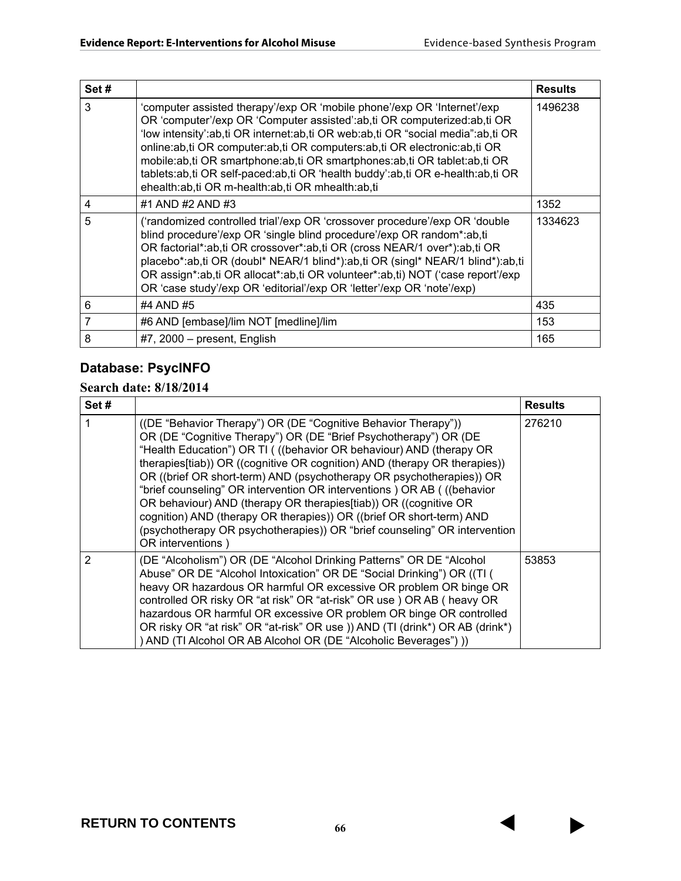| Set# |                                                                                                                                                                                                                                                                                                                                                                                                                                                                                                                                     | <b>Results</b> |
|------|-------------------------------------------------------------------------------------------------------------------------------------------------------------------------------------------------------------------------------------------------------------------------------------------------------------------------------------------------------------------------------------------------------------------------------------------------------------------------------------------------------------------------------------|----------------|
| 3    | 'computer assisted therapy'/exp OR 'mobile phone'/exp OR 'Internet'/exp<br>OR 'computer'/exp OR 'Computer assisted':ab,ti OR computerized:ab,ti OR<br>'low intensity':ab,ti OR internet:ab,ti OR web:ab,ti OR "social media":ab,ti OR<br>online:ab,ti OR computer:ab,ti OR computers:ab,ti OR electronic:ab,ti OR<br>mobile:ab,ti OR smartphone:ab,ti OR smartphones:ab,ti OR tablet:ab,ti OR<br>tablets:ab,ti OR self-paced:ab,ti OR 'health buddy':ab,ti OR e-health:ab,ti OR<br>ehealth:ab,ti OR m-health:ab,ti OR mhealth:ab,ti | 1496238        |
| 4    | #1 AND #2 AND #3                                                                                                                                                                                                                                                                                                                                                                                                                                                                                                                    | 1352           |
| 5    | ('randomized controlled trial'/exp OR 'crossover procedure'/exp OR 'double<br>blind procedure'/exp OR 'single blind procedure'/exp OR random*:ab,ti<br>OR factorial*:ab,ti OR crossover*:ab,ti OR (cross NEAR/1 over*):ab,ti OR<br>placebo*:ab,ti OR (doubl* NEAR/1 blind*):ab,ti OR (singl* NEAR/1 blind*):ab,ti<br>OR assign*:ab,ti OR allocat*:ab,ti OR volunteer*:ab,ti) NOT ('case report'/exp<br>OR 'case study'/exp OR 'editorial'/exp OR 'letter'/exp OR 'note'/exp)                                                        | 1334623        |
| 6    | #4 AND #5                                                                                                                                                                                                                                                                                                                                                                                                                                                                                                                           | 435            |
| 7    | #6 AND [embase]/lim NOT [medline]/lim                                                                                                                                                                                                                                                                                                                                                                                                                                                                                               | 153            |
| 8    | $#7, 2000$ – present, English                                                                                                                                                                                                                                                                                                                                                                                                                                                                                                       | 165            |

# **Database: PsycINFO**

# **Search date: 8/18/2014**

| Set# |                                                                                                                                                                                                                                                                                                                                                                                                                                                                                                                                                                                                                                                                                        | <b>Results</b> |
|------|----------------------------------------------------------------------------------------------------------------------------------------------------------------------------------------------------------------------------------------------------------------------------------------------------------------------------------------------------------------------------------------------------------------------------------------------------------------------------------------------------------------------------------------------------------------------------------------------------------------------------------------------------------------------------------------|----------------|
|      | ((DE "Behavior Therapy") OR (DE "Cognitive Behavior Therapy"))<br>OR (DE "Cognitive Therapy") OR (DE "Brief Psychotherapy") OR (DE<br>"Health Education") OR TI (((behavior OR behaviour) AND (therapy OR<br>therapies[tiab)) OR ((cognitive OR cognition) AND (therapy OR therapies))<br>OR ((brief OR short-term) AND (psychotherapy OR psychotherapies)) OR<br>"brief counseling" OR intervention OR interventions ) OR AB ((behavior<br>OR behaviour) AND (therapy OR therapies[tiab)) OR ((cognitive OR<br>cognition) AND (therapy OR therapies)) OR ((brief OR short-term) AND<br>(psychotherapy OR psychotherapies)) OR "brief counseling" OR intervention<br>OR interventions) | 276210         |
| 2    | (DE "Alcoholism") OR (DE "Alcohol Drinking Patterns" OR DE "Alcohol<br>Abuse" OR DE "Alcohol Intoxication" OR DE "Social Drinking") OR ((TI)<br>heavy OR hazardous OR harmful OR excessive OR problem OR binge OR<br>controlled OR risky OR "at risk" OR "at-risk" OR use ) OR AB ( heavy OR<br>hazardous OR harmful OR excessive OR problem OR binge OR controlled<br>OR risky OR "at risk" OR "at-risk" OR use )) AND (TI (drink*) OR AB (drink*)<br>) AND (TI Alcohol OR AB Alcohol OR (DE "Alcoholic Beverages") ))                                                                                                                                                                | 53853          |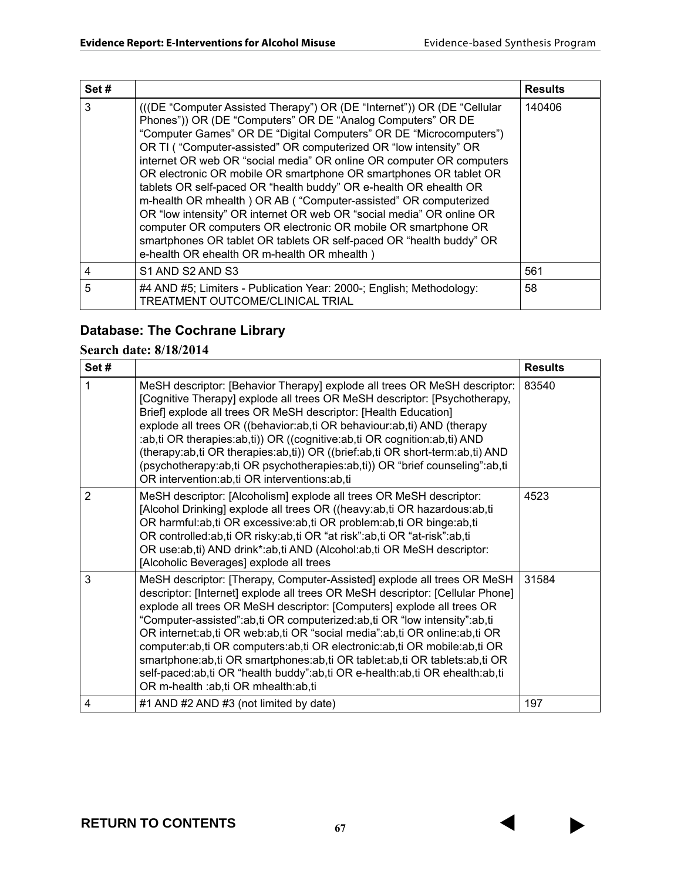| Set# |                                                                                                                                                                                                                                                                                                                                                                                                                                                                                                                                                                                                                                                                                                                                                                                                                                        | <b>Results</b> |
|------|----------------------------------------------------------------------------------------------------------------------------------------------------------------------------------------------------------------------------------------------------------------------------------------------------------------------------------------------------------------------------------------------------------------------------------------------------------------------------------------------------------------------------------------------------------------------------------------------------------------------------------------------------------------------------------------------------------------------------------------------------------------------------------------------------------------------------------------|----------------|
| 3    | (((DE "Computer Assisted Therapy") OR (DE "Internet")) OR (DE "Cellular<br>Phones")) OR (DE "Computers" OR DE "Analog Computers" OR DE<br>"Computer Games" OR DE "Digital Computers" OR DE "Microcomputers")<br>OR TI ("Computer-assisted" OR computerized OR "low intensity" OR<br>internet OR web OR "social media" OR online OR computer OR computers<br>OR electronic OR mobile OR smartphone OR smartphones OR tablet OR<br>tablets OR self-paced OR "health buddy" OR e-health OR ehealth OR<br>m-health OR mhealth ) OR AB ("Computer-assisted" OR computerized<br>OR "low intensity" OR internet OR web OR "social media" OR online OR<br>computer OR computers OR electronic OR mobile OR smartphone OR<br>smartphones OR tablet OR tablets OR self-paced OR "health buddy" OR<br>e-health OR ehealth OR m-health OR mhealth) | 140406         |
| 4    | S1 AND S2 AND S3                                                                                                                                                                                                                                                                                                                                                                                                                                                                                                                                                                                                                                                                                                                                                                                                                       | 561            |
| 5    | #4 AND #5; Limiters - Publication Year: 2000-; English; Methodology:<br>TREATMENT OUTCOME/CLINICAL TRIAL                                                                                                                                                                                                                                                                                                                                                                                                                                                                                                                                                                                                                                                                                                                               | 58             |

# **Database: The Cochrane Library**

## **Search date: 8/18/2014**

| Set#           |                                                                                                                                                                                                                                                                                                                                                                                                                                                                                                                                                                                                                                                                            | <b>Results</b> |
|----------------|----------------------------------------------------------------------------------------------------------------------------------------------------------------------------------------------------------------------------------------------------------------------------------------------------------------------------------------------------------------------------------------------------------------------------------------------------------------------------------------------------------------------------------------------------------------------------------------------------------------------------------------------------------------------------|----------------|
| 1              | MeSH descriptor: [Behavior Therapy] explode all trees OR MeSH descriptor:<br>[Cognitive Therapy] explode all trees OR MeSH descriptor: [Psychotherapy,<br>Brief] explode all trees OR MeSH descriptor: [Health Education]<br>explode all trees OR ((behavior:ab,ti OR behaviour:ab,ti) AND (therapy<br>:ab,ti OR therapies:ab,ti)) OR ((cognitive:ab,ti OR cognition:ab,ti) AND<br>(therapy:ab,ti OR therapies:ab,ti)) OR ((brief:ab,ti OR short-term:ab,ti) AND<br>(psychotherapy:ab,ti OR psychotherapies:ab,ti)) OR "brief counseling":ab,ti<br>OR intervention: ab, ti OR interventions: ab, ti                                                                        | 83540          |
| $\overline{2}$ | MeSH descriptor: [Alcoholism] explode all trees OR MeSH descriptor:<br>[Alcohol Drinking] explode all trees OR ((heavy:ab,ti OR hazardous:ab,ti<br>OR harmful:ab,ti OR excessive:ab,ti OR problem:ab,ti OR binge:ab,ti<br>OR controlled:ab,ti OR risky:ab,ti OR "at risk":ab,ti OR "at-risk":ab,ti<br>OR use:ab,ti) AND drink*:ab,ti AND (Alcohol:ab,ti OR MeSH descriptor:<br>[Alcoholic Beverages] explode all trees                                                                                                                                                                                                                                                     | 4523           |
| 3              | MeSH descriptor: [Therapy, Computer-Assisted] explode all trees OR MeSH<br>descriptor: [Internet] explode all trees OR MeSH descriptor: [Cellular Phone]<br>explode all trees OR MeSH descriptor: [Computers] explode all trees OR<br>"Computer-assisted":ab,ti OR computerized:ab,ti OR "low intensity":ab,ti<br>OR internet:ab,ti OR web:ab,ti OR "social media":ab,ti OR online:ab,ti OR<br>computer:ab,ti OR computers:ab,ti OR electronic:ab,ti OR mobile:ab,ti OR<br>smartphone:ab,ti OR smartphones:ab,ti OR tablet:ab,ti OR tablets:ab,ti OR<br>self-paced:ab,ti OR "health buddy":ab,ti OR e-health:ab,ti OR ehealth:ab,ti<br>OR m-health :ab,ti OR mhealth:ab,ti | 31584          |
| 4              | #1 AND #2 AND #3 (not limited by date)                                                                                                                                                                                                                                                                                                                                                                                                                                                                                                                                                                                                                                     | 197            |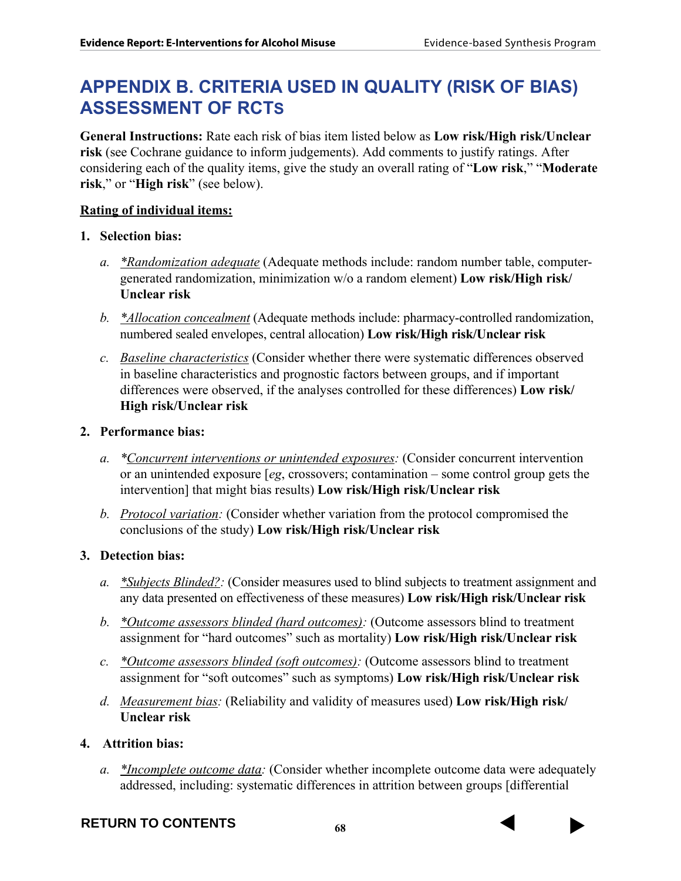# **APPENDIX B. CRITERIA USED IN QUALITY (RISK OF BIAS) ASSESSMENT OF RCTS**

**General Instructions:** Rate each risk of bias item listed below as **Low risk/High risk/Unclear risk** (see Cochrane guidance to inform judgements). Add comments to justify ratings. After considering each of the quality items, give the study an overall rating of "**Low risk**," "**Moderate risk**," or "**High risk**" (see below).

### **Rating of individual items:**

#### **1. Selection bias:**

- *a. \*Randomization adequate* (Adequate methods include: random number table, computergenerated randomization, minimization w/o a random element) **Low risk/High risk/ Unclear risk**
- *b. \*Allocation concealment* (Adequate methods include: pharmacy-controlled randomization, numbered sealed envelopes, central allocation) **Low risk/High risk/Unclear risk**
- *c. Baseline characteristics* (Consider whether there were systematic differences observed in baseline characteristics and prognostic factors between groups, and if important differences were observed, if the analyses controlled for these differences) **Low risk/ High risk/Unclear risk**

#### **2. Performance bias:**

- *a. \*Concurrent interventions or unintended exposures:* (Consider concurrent intervention or an unintended exposure [*eg*, crossovers; contamination – some control group gets the intervention] that might bias results) **Low risk/High risk/Unclear risk**
- *b. Protocol variation:* (Consider whether variation from the protocol compromised the conclusions of the study) **Low risk/High risk/Unclear risk**

#### **3. Detection bias:**

- *a. \*Subjects Blinded?:* (Consider measures used to blind subjects to treatment assignment and any data presented on effectiveness of these measures) **Low risk/High risk/Unclear risk**
- *b. \*Outcome assessors blinded (hard outcomes):* (Outcome assessors blind to treatment assignment for "hard outcomes" such as mortality) **Low risk/High risk/Unclear risk**
- *c. \*Outcome assessors blinded (soft outcomes):* (Outcome assessors blind to treatment assignment for "soft outcomes" such as symptoms) **Low risk/High risk/Unclear risk**
- *d. Measurement bias:* (Reliability and validity of measures used) **Low risk/High risk/ Unclear risk**

#### **4. Attrition bias:**

*a. \*Incomplete outcome data:* (Consider whether incomplete outcome data were adequately addressed, including: systematic differences in attrition between groups [differential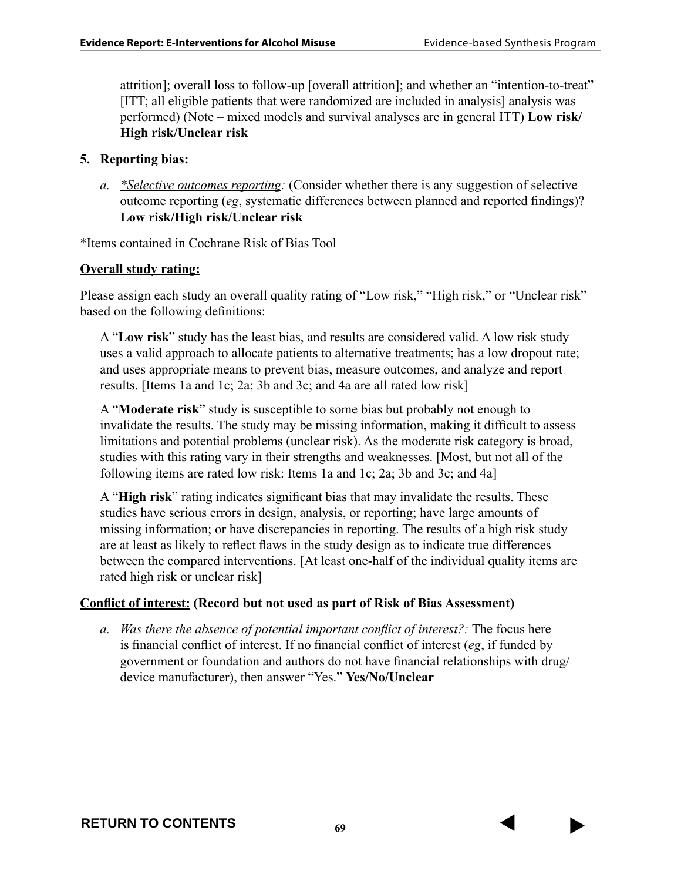attrition]; overall loss to follow-up [overall attrition]; and whether an "intention-to-treat" [ITT; all eligible patients that were randomized are included in analysis] analysis was performed) (Note – mixed models and survival analyses are in general ITT) **Low risk/ High risk/Unclear risk**

#### **5. Reporting bias:**

*a. \*Selective outcomes reporting:* (Consider whether there is any suggestion of selective outcome reporting (*eg*, systematic differences between planned and reported findings)? **Low risk/High risk/Unclear risk**

\*Items contained in Cochrane Risk of Bias Tool

#### **Overall study rating:**

Please assign each study an overall quality rating of "Low risk," "High risk," or "Unclear risk" based on the following definitions:

A "**Low risk**" study has the least bias, and results are considered valid. A low risk study uses a valid approach to allocate patients to alternative treatments; has a low dropout rate; and uses appropriate means to prevent bias, measure outcomes, and analyze and report results. [Items 1a and 1c; 2a; 3b and 3c; and 4a are all rated low risk]

A "**Moderate risk**" study is susceptible to some bias but probably not enough to invalidate the results. The study may be missing information, making it difficult to assess limitations and potential problems (unclear risk). As the moderate risk category is broad, studies with this rating vary in their strengths and weaknesses. [Most, but not all of the following items are rated low risk: Items 1a and 1c; 2a; 3b and 3c; and 4a]

A "**High risk**" rating indicates significant bias that may invalidate the results. These studies have serious errors in design, analysis, or reporting; have large amounts of missing information; or have discrepancies in reporting. The results of a high risk study are at least as likely to reflect flaws in the study design as to indicate true differences between the compared interventions. [At least one-half of the individual quality items are rated high risk or unclear risk]

#### **Conflict of interest: (Record but not used as part of Risk of Bias Assessment)**

*a. Was there the absence of potential important conflict of interest?:* The focus here is financial conflict of interest. If no financial conflict of interest (*eg*, if funded by government or foundation and authors do not have financial relationships with drug/ device manufacturer), then answer "Yes." **Yes/No/Unclear**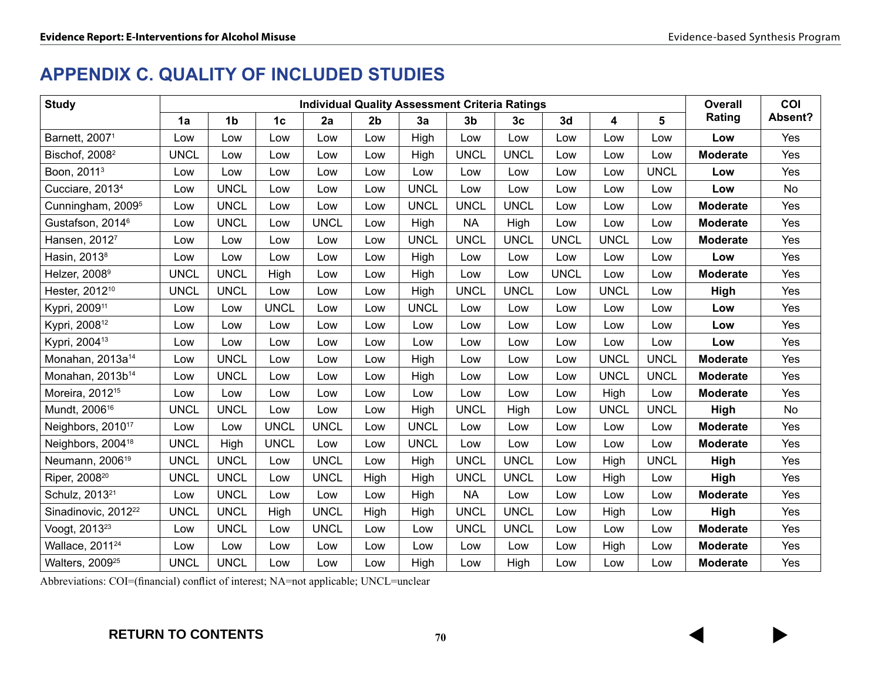# **APPENDIX C. QUALITY OF INCLUDED STUDIES**

| <b>Study</b>                    | <b>Individual Quality Assessment Criteria Ratings</b> |                |                |             | <b>Overall</b> | COI         |                |                |             |             |             |                 |         |
|---------------------------------|-------------------------------------------------------|----------------|----------------|-------------|----------------|-------------|----------------|----------------|-------------|-------------|-------------|-----------------|---------|
|                                 | 1a                                                    | 1 <sub>b</sub> | 1 <sub>c</sub> | 2a          | 2 <sub>b</sub> | 3a          | 3 <sub>b</sub> | 3 <sub>c</sub> | 3d          | 4           | 5           | Rating          | Absent? |
| Barnett, 2007 <sup>1</sup>      | Low                                                   | Low            | Low            | Low         | Low            | High        | Low            | Low            | Low         | Low         | Low         | Low             | Yes     |
| Bischof, 2008 <sup>2</sup>      | <b>UNCL</b>                                           | Low            | Low            | Low         | Low            | High        | <b>UNCL</b>    | <b>UNCL</b>    | Low         | Low         | Low         | <b>Moderate</b> | Yes     |
| Boon, 2011 <sup>3</sup>         | Low                                                   | Low            | Low            | Low         | Low            | Low         | Low            | Low            | Low         | Low         | <b>UNCL</b> | Low             | Yes     |
| Cucciare, 2013 <sup>4</sup>     | Low                                                   | <b>UNCL</b>    | Low            | Low         | Low            | <b>UNCL</b> | Low            | Low            | Low         | Low         | Low         | Low             | No      |
| Cunningham, 2009 <sup>5</sup>   | Low                                                   | <b>UNCL</b>    | Low            | Low         | Low            | <b>UNCL</b> | <b>UNCL</b>    | <b>UNCL</b>    | Low         | Low         | Low         | <b>Moderate</b> | Yes     |
| Gustafson, 2014 <sup>6</sup>    | Low                                                   | <b>UNCL</b>    | Low            | <b>UNCL</b> | Low            | High        | <b>NA</b>      | High           | Low         | Low         | Low         | <b>Moderate</b> | Yes     |
| Hansen, 20127                   | Low                                                   | Low            | Low            | Low         | Low            | <b>UNCL</b> | <b>UNCL</b>    | <b>UNCL</b>    | <b>UNCL</b> | <b>UNCL</b> | Low         | <b>Moderate</b> | Yes     |
| Hasin, 2013 <sup>8</sup>        | Low                                                   | Low            | Low            | Low         | Low            | High        | Low            | Low            | Low         | Low         | Low         | Low             | Yes     |
| Helzer, 2008 <sup>9</sup>       | <b>UNCL</b>                                           | <b>UNCL</b>    | High           | Low         | Low            | High        | Low            | Low            | <b>UNCL</b> | Low         | Low         | <b>Moderate</b> | Yes     |
| Hester, 2012 <sup>10</sup>      | <b>UNCL</b>                                           | <b>UNCL</b>    | Low            | Low         | Low            | High        | <b>UNCL</b>    | <b>UNCL</b>    | Low         | <b>UNCL</b> | Low         | High            | Yes     |
| Kypri, 2009 <sup>11</sup>       | Low                                                   | Low            | <b>UNCL</b>    | Low         | Low            | <b>UNCL</b> | Low            | Low            | Low         | Low         | Low         | Low             | Yes     |
| Kypri, 2008 <sup>12</sup>       | Low                                                   | Low            | Low            | Low         | Low            | Low         | Low            | Low            | Low         | Low         | Low         | Low             | Yes     |
| Kypri, 2004 <sup>13</sup>       | Low                                                   | Low            | Low            | Low         | Low            | Low         | Low            | Low            | Low         | Low         | Low         | Low             | Yes     |
| Monahan, 2013a <sup>14</sup>    | Low                                                   | <b>UNCL</b>    | Low            | Low         | Low            | High        | Low            | Low            | Low         | <b>UNCL</b> | <b>UNCL</b> | <b>Moderate</b> | Yes     |
| Monahan, 2013b <sup>14</sup>    | Low                                                   | <b>UNCL</b>    | Low            | Low         | Low            | High        | Low            | Low            | Low         | <b>UNCL</b> | <b>UNCL</b> | <b>Moderate</b> | Yes     |
| Moreira, 2012 <sup>15</sup>     | Low                                                   | Low            | Low            | Low         | Low            | Low         | Low            | Low            | Low         | High        | Low         | <b>Moderate</b> | Yes     |
| Mundt, 2006 <sup>16</sup>       | <b>UNCL</b>                                           | <b>UNCL</b>    | Low            | Low         | Low            | High        | <b>UNCL</b>    | High           | Low         | <b>UNCL</b> | <b>UNCL</b> | High            | No      |
| Neighbors, 2010 <sup>17</sup>   | Low                                                   | Low            | <b>UNCL</b>    | <b>UNCL</b> | Low            | <b>UNCL</b> | Low            | Low            | Low         | Low         | Low         | <b>Moderate</b> | Yes     |
| Neighbors, 2004 <sup>18</sup>   | <b>UNCL</b>                                           | High           | <b>UNCL</b>    | Low         | Low            | <b>UNCL</b> | Low            | Low            | Low         | Low         | Low         | <b>Moderate</b> | Yes     |
| Neumann, 2006 <sup>19</sup>     | <b>UNCL</b>                                           | <b>UNCL</b>    | Low            | <b>UNCL</b> | Low            | High        | <b>UNCL</b>    | <b>UNCL</b>    | Low         | High        | <b>UNCL</b> | High            | Yes     |
| Riper, 2008 <sup>20</sup>       | <b>UNCL</b>                                           | <b>UNCL</b>    | Low            | <b>UNCL</b> | High           | High        | <b>UNCL</b>    | <b>UNCL</b>    | Low         | High        | Low         | High            | Yes     |
| Schulz, 2013 <sup>21</sup>      | Low                                                   | <b>UNCL</b>    | Low            | Low         | Low            | High        | <b>NA</b>      | Low            | Low         | Low         | Low         | <b>Moderate</b> | Yes     |
| Sinadinovic, 2012 <sup>22</sup> | <b>UNCL</b>                                           | <b>UNCL</b>    | High           | <b>UNCL</b> | High           | High        | <b>UNCL</b>    | <b>UNCL</b>    | Low         | High        | Low         | High            | Yes     |
| Voogt, 2013 <sup>23</sup>       | Low                                                   | <b>UNCL</b>    | Low            | <b>UNCL</b> | Low            | Low         | <b>UNCL</b>    | <b>UNCL</b>    | Low         | Low         | Low         | <b>Moderate</b> | Yes     |
| Wallace, 2011 <sup>24</sup>     | Low                                                   | Low            | Low            | Low         | Low            | Low         | Low            | Low            | Low         | High        | Low         | <b>Moderate</b> | Yes     |
| Walters, 2009 <sup>25</sup>     | <b>UNCL</b>                                           | <b>UNCL</b>    | Low            | Low         | Low            | High        | Low            | High           | Low         | Low         | Low         | <b>Moderate</b> | Yes     |

Abbreviations: COI=(financial) conflict of interest; NA=not applicable; UNCL=unclear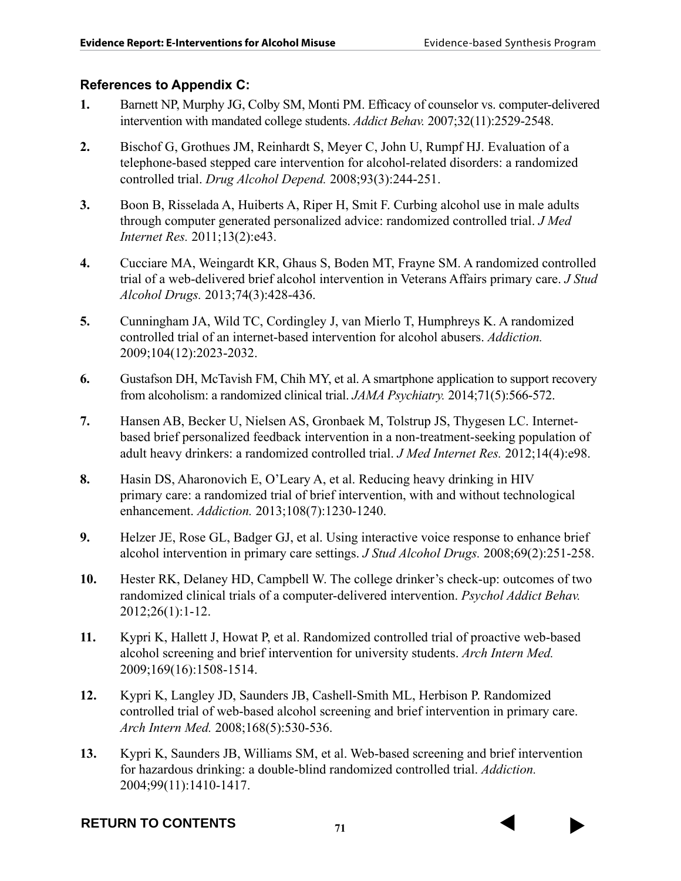## **References to Appendix C:**

- **1.** Barnett NP, Murphy JG, Colby SM, Monti PM. Efficacy of counselor vs. computer-delivered intervention with mandated college students. *Addict Behav.* 2007;32(11):2529-2548.
- **2.** Bischof G, Grothues JM, Reinhardt S, Meyer C, John U, Rumpf HJ. Evaluation of a telephone-based stepped care intervention for alcohol-related disorders: a randomized controlled trial. *Drug Alcohol Depend.* 2008;93(3):244-251.
- **3.** Boon B, Risselada A, Huiberts A, Riper H, Smit F. Curbing alcohol use in male adults through computer generated personalized advice: randomized controlled trial. *J Med Internet Res.* 2011;13(2):e43.
- **4.** Cucciare MA, Weingardt KR, Ghaus S, Boden MT, Frayne SM. A randomized controlled trial of a web-delivered brief alcohol intervention in Veterans Affairs primary care. *J Stud Alcohol Drugs.* 2013;74(3):428-436.
- **5.** Cunningham JA, Wild TC, Cordingley J, van Mierlo T, Humphreys K. A randomized controlled trial of an internet-based intervention for alcohol abusers. *Addiction.*  2009;104(12):2023-2032.
- **6.** Gustafson DH, McTavish FM, Chih MY, et al. A smartphone application to support recovery from alcoholism: a randomized clinical trial. *JAMA Psychiatry.* 2014;71(5):566-572.
- **7.** Hansen AB, Becker U, Nielsen AS, Gronbaek M, Tolstrup JS, Thygesen LC. Internetbased brief personalized feedback intervention in a non-treatment-seeking population of adult heavy drinkers: a randomized controlled trial. *J Med Internet Res.* 2012;14(4):e98.
- **8.** Hasin DS, Aharonovich E, O'Leary A, et al. Reducing heavy drinking in HIV primary care: a randomized trial of brief intervention, with and without technological enhancement. *Addiction.* 2013;108(7):1230-1240.
- **9.** Helzer JE, Rose GL, Badger GJ, et al. Using interactive voice response to enhance brief alcohol intervention in primary care settings. *J Stud Alcohol Drugs.* 2008;69(2):251-258.
- **10.** Hester RK, Delaney HD, Campbell W. The college drinker's check-up: outcomes of two randomized clinical trials of a computer-delivered intervention. *Psychol Addict Behav.*  2012;26(1):1-12.
- **11.** Kypri K, Hallett J, Howat P, et al. Randomized controlled trial of proactive web-based alcohol screening and brief intervention for university students. *Arch Intern Med.*  2009;169(16):1508-1514.
- **12.** Kypri K, Langley JD, Saunders JB, Cashell-Smith ML, Herbison P. Randomized controlled trial of web-based alcohol screening and brief intervention in primary care. *Arch Intern Med.* 2008;168(5):530-536.
- **13.** Kypri K, Saunders JB, Williams SM, et al. Web-based screening and brief intervention for hazardous drinking: a double-blind randomized controlled trial. *Addiction.*  2004;99(11):1410-1417.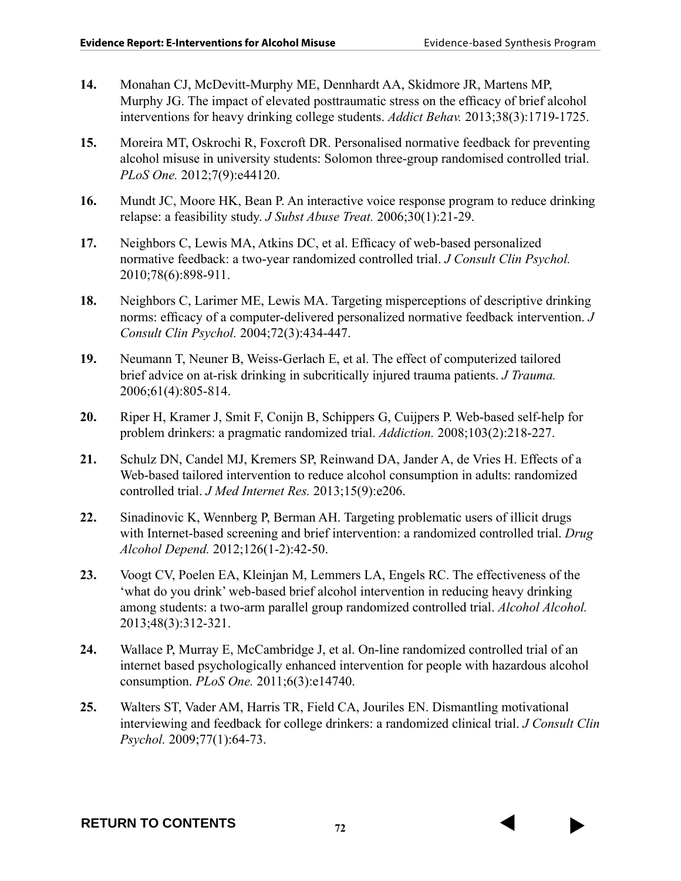- **14.** Monahan CJ, McDevitt-Murphy ME, Dennhardt AA, Skidmore JR, Martens MP, Murphy JG. The impact of elevated posttraumatic stress on the efficacy of brief alcohol interventions for heavy drinking college students. *Addict Behav.* 2013;38(3):1719-1725.
- **15.** Moreira MT, Oskrochi R, Foxcroft DR. Personalised normative feedback for preventing alcohol misuse in university students: Solomon three-group randomised controlled trial. *PLoS One.* 2012;7(9):e44120.
- **16.** Mundt JC, Moore HK, Bean P. An interactive voice response program to reduce drinking relapse: a feasibility study. *J Subst Abuse Treat.* 2006;30(1):21-29.
- **17.** Neighbors C, Lewis MA, Atkins DC, et al. Efficacy of web-based personalized normative feedback: a two-year randomized controlled trial. *J Consult Clin Psychol.*  2010;78(6):898-911.
- **18.** Neighbors C, Larimer ME, Lewis MA. Targeting misperceptions of descriptive drinking norms: efficacy of a computer-delivered personalized normative feedback intervention. *J Consult Clin Psychol.* 2004;72(3):434-447.
- **19.** Neumann T, Neuner B, Weiss-Gerlach E, et al. The effect of computerized tailored brief advice on at-risk drinking in subcritically injured trauma patients. *J Trauma.*  2006;61(4):805-814.
- **20.** Riper H, Kramer J, Smit F, Conijn B, Schippers G, Cuijpers P. Web-based self-help for problem drinkers: a pragmatic randomized trial. *Addiction.* 2008;103(2):218-227.
- **21.** Schulz DN, Candel MJ, Kremers SP, Reinwand DA, Jander A, de Vries H. Effects of a Web-based tailored intervention to reduce alcohol consumption in adults: randomized controlled trial. *J Med Internet Res.* 2013;15(9):e206.
- **22.** Sinadinovic K, Wennberg P, Berman AH. Targeting problematic users of illicit drugs with Internet-based screening and brief intervention: a randomized controlled trial. *Drug Alcohol Depend.* 2012;126(1-2):42-50.
- **23.** Voogt CV, Poelen EA, Kleinjan M, Lemmers LA, Engels RC. The effectiveness of the 'what do you drink' web-based brief alcohol intervention in reducing heavy drinking among students: a two-arm parallel group randomized controlled trial. *Alcohol Alcohol.*  2013;48(3):312-321.
- **24.** Wallace P, Murray E, McCambridge J, et al. On-line randomized controlled trial of an internet based psychologically enhanced intervention for people with hazardous alcohol consumption. *PLoS One.* 2011;6(3):e14740.
- **25.** Walters ST, Vader AM, Harris TR, Field CA, Jouriles EN. Dismantling motivational interviewing and feedback for college drinkers: a randomized clinical trial. *J Consult Clin Psychol.* 2009;77(1):64-73.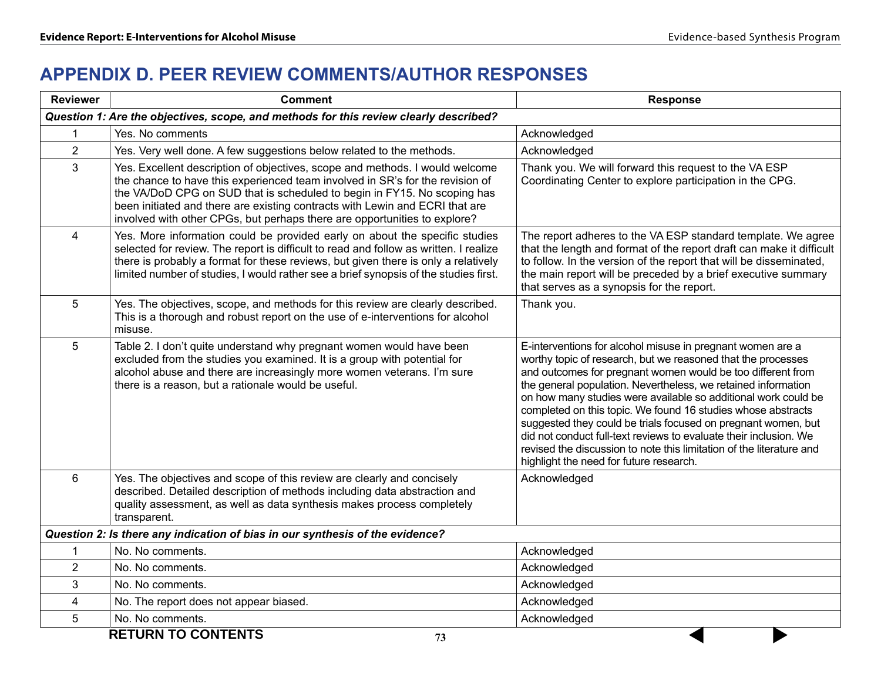# **APPENDIX D. PEER REVIEW COMMENTS/AUTHOR RESPONSES**

| <b>Reviewer</b> | <b>Comment</b>                                                                                                                                                                                                                                                                                                                                                                                         | <b>Response</b>                                                                                                                                                                                                                                                                                                                                                                                                                                                                                                                                                                                                                                       |
|-----------------|--------------------------------------------------------------------------------------------------------------------------------------------------------------------------------------------------------------------------------------------------------------------------------------------------------------------------------------------------------------------------------------------------------|-------------------------------------------------------------------------------------------------------------------------------------------------------------------------------------------------------------------------------------------------------------------------------------------------------------------------------------------------------------------------------------------------------------------------------------------------------------------------------------------------------------------------------------------------------------------------------------------------------------------------------------------------------|
|                 | Question 1: Are the objectives, scope, and methods for this review clearly described?                                                                                                                                                                                                                                                                                                                  |                                                                                                                                                                                                                                                                                                                                                                                                                                                                                                                                                                                                                                                       |
| 1               | Yes. No comments                                                                                                                                                                                                                                                                                                                                                                                       | Acknowledged                                                                                                                                                                                                                                                                                                                                                                                                                                                                                                                                                                                                                                          |
| $\overline{2}$  | Yes. Very well done. A few suggestions below related to the methods.                                                                                                                                                                                                                                                                                                                                   | Acknowledged                                                                                                                                                                                                                                                                                                                                                                                                                                                                                                                                                                                                                                          |
| 3               | Yes. Excellent description of objectives, scope and methods. I would welcome<br>the chance to have this experienced team involved in SR's for the revision of<br>the VA/DoD CPG on SUD that is scheduled to begin in FY15. No scoping has<br>been initiated and there are existing contracts with Lewin and ECRI that are<br>involved with other CPGs, but perhaps there are opportunities to explore? | Thank you. We will forward this request to the VA ESP<br>Coordinating Center to explore participation in the CPG.                                                                                                                                                                                                                                                                                                                                                                                                                                                                                                                                     |
| 4               | Yes. More information could be provided early on about the specific studies<br>selected for review. The report is difficult to read and follow as written. I realize<br>there is probably a format for these reviews, but given there is only a relatively<br>limited number of studies, I would rather see a brief synopsis of the studies first.                                                     | The report adheres to the VA ESP standard template. We agree<br>that the length and format of the report draft can make it difficult<br>to follow. In the version of the report that will be disseminated,<br>the main report will be preceded by a brief executive summary<br>that serves as a synopsis for the report.                                                                                                                                                                                                                                                                                                                              |
| 5               | Yes. The objectives, scope, and methods for this review are clearly described.<br>This is a thorough and robust report on the use of e-interventions for alcohol<br>misuse.                                                                                                                                                                                                                            | Thank you.                                                                                                                                                                                                                                                                                                                                                                                                                                                                                                                                                                                                                                            |
| 5               | Table 2. I don't quite understand why pregnant women would have been<br>excluded from the studies you examined. It is a group with potential for<br>alcohol abuse and there are increasingly more women veterans. I'm sure<br>there is a reason, but a rationale would be useful.                                                                                                                      | E-interventions for alcohol misuse in pregnant women are a<br>worthy topic of research, but we reasoned that the processes<br>and outcomes for pregnant women would be too different from<br>the general population. Nevertheless, we retained information<br>on how many studies were available so additional work could be<br>completed on this topic. We found 16 studies whose abstracts<br>suggested they could be trials focused on pregnant women, but<br>did not conduct full-text reviews to evaluate their inclusion. We<br>revised the discussion to note this limitation of the literature and<br>highlight the need for future research. |
| $6\phantom{a}$  | Yes. The objectives and scope of this review are clearly and concisely<br>described. Detailed description of methods including data abstraction and<br>quality assessment, as well as data synthesis makes process completely<br>transparent.                                                                                                                                                          | Acknowledged                                                                                                                                                                                                                                                                                                                                                                                                                                                                                                                                                                                                                                          |
|                 | Question 2: Is there any indication of bias in our synthesis of the evidence?                                                                                                                                                                                                                                                                                                                          |                                                                                                                                                                                                                                                                                                                                                                                                                                                                                                                                                                                                                                                       |
| 1               | No. No comments.                                                                                                                                                                                                                                                                                                                                                                                       | Acknowledged                                                                                                                                                                                                                                                                                                                                                                                                                                                                                                                                                                                                                                          |
| $\overline{2}$  | No. No comments.                                                                                                                                                                                                                                                                                                                                                                                       | Acknowledged                                                                                                                                                                                                                                                                                                                                                                                                                                                                                                                                                                                                                                          |
| 3               | No. No comments.                                                                                                                                                                                                                                                                                                                                                                                       | Acknowledged                                                                                                                                                                                                                                                                                                                                                                                                                                                                                                                                                                                                                                          |
| 4               | No. The report does not appear biased.                                                                                                                                                                                                                                                                                                                                                                 | Acknowledged                                                                                                                                                                                                                                                                                                                                                                                                                                                                                                                                                                                                                                          |
| 5               | No. No comments.                                                                                                                                                                                                                                                                                                                                                                                       | Acknowledged                                                                                                                                                                                                                                                                                                                                                                                                                                                                                                                                                                                                                                          |
|                 | <b>RETURN TO CONTENTS</b><br>73                                                                                                                                                                                                                                                                                                                                                                        |                                                                                                                                                                                                                                                                                                                                                                                                                                                                                                                                                                                                                                                       |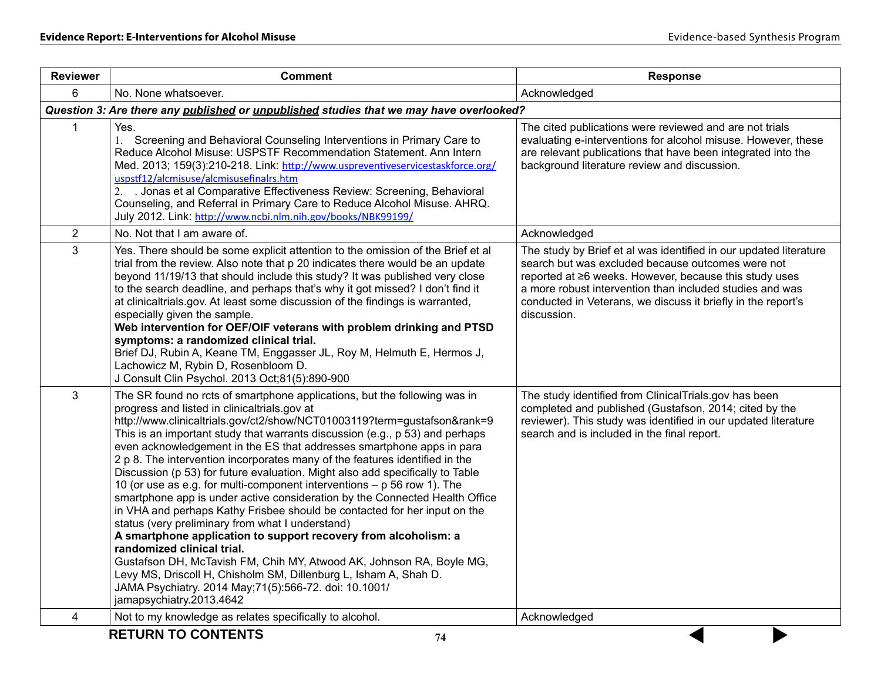| <b>Reviewer</b> | <b>Comment</b>                                                                                                                                                                                                                                                                                                                                                                                                                                                                                                                                                                                                                                                                                                                                                                                                                                                                                                                                                                                                                                                                                                                                                | <b>Response</b>                                                                                                                                                                                                                                                                                                             |  |  |  |  |  |
|-----------------|---------------------------------------------------------------------------------------------------------------------------------------------------------------------------------------------------------------------------------------------------------------------------------------------------------------------------------------------------------------------------------------------------------------------------------------------------------------------------------------------------------------------------------------------------------------------------------------------------------------------------------------------------------------------------------------------------------------------------------------------------------------------------------------------------------------------------------------------------------------------------------------------------------------------------------------------------------------------------------------------------------------------------------------------------------------------------------------------------------------------------------------------------------------|-----------------------------------------------------------------------------------------------------------------------------------------------------------------------------------------------------------------------------------------------------------------------------------------------------------------------------|--|--|--|--|--|
| 6               | No. None whatsoever.                                                                                                                                                                                                                                                                                                                                                                                                                                                                                                                                                                                                                                                                                                                                                                                                                                                                                                                                                                                                                                                                                                                                          | Acknowledged                                                                                                                                                                                                                                                                                                                |  |  |  |  |  |
|                 | Question 3: Are there any published or unpublished studies that we may have overlooked?                                                                                                                                                                                                                                                                                                                                                                                                                                                                                                                                                                                                                                                                                                                                                                                                                                                                                                                                                                                                                                                                       |                                                                                                                                                                                                                                                                                                                             |  |  |  |  |  |
| 1               | Yes.<br>1. Screening and Behavioral Counseling Interventions in Primary Care to<br>Reduce Alcohol Misuse: USPSTF Recommendation Statement. Ann Intern<br>Med. 2013; 159(3):210-218. Link: http://www.uspreventiveservicestaskforce.org/<br>uspstf12/alcmisuse/alcmisusefinalrs.htm<br>. Jonas et al Comparative Effectiveness Review: Screening, Behavioral<br>2.<br>Counseling, and Referral in Primary Care to Reduce Alcohol Misuse. AHRQ.<br>July 2012. Link: http://www.ncbi.nlm.nih.gov/books/NBK99199/                                                                                                                                                                                                                                                                                                                                                                                                                                                                                                                                                                                                                                                 | The cited publications were reviewed and are not trials<br>evaluating e-interventions for alcohol misuse. However, these<br>are relevant publications that have been integrated into the<br>background literature review and discussion.                                                                                    |  |  |  |  |  |
| 2               | No. Not that I am aware of.                                                                                                                                                                                                                                                                                                                                                                                                                                                                                                                                                                                                                                                                                                                                                                                                                                                                                                                                                                                                                                                                                                                                   | Acknowledged                                                                                                                                                                                                                                                                                                                |  |  |  |  |  |
| 3               | Yes. There should be some explicit attention to the omission of the Brief et al<br>trial from the review. Also note that p 20 indicates there would be an update<br>beyond 11/19/13 that should include this study? It was published very close<br>to the search deadline, and perhaps that's why it got missed? I don't find it<br>at clinicaltrials.gov. At least some discussion of the findings is warranted,<br>especially given the sample.<br>Web intervention for OEF/OIF veterans with problem drinking and PTSD<br>symptoms: a randomized clinical trial.<br>Brief DJ, Rubin A, Keane TM, Enggasser JL, Roy M, Helmuth E, Hermos J,<br>Lachowicz M, Rybin D, Rosenbloom D.<br>J Consult Clin Psychol. 2013 Oct;81(5):890-900                                                                                                                                                                                                                                                                                                                                                                                                                        | The study by Brief et al was identified in our updated literature<br>search but was excluded because outcomes were not<br>reported at ≥6 weeks. However, because this study uses<br>a more robust intervention than included studies and was<br>conducted in Veterans, we discuss it briefly in the report's<br>discussion. |  |  |  |  |  |
| 3               | The SR found no rcts of smartphone applications, but the following was in<br>progress and listed in clinicaltrials.gov at<br>http://www.clinicaltrials.gov/ct2/show/NCT01003119?term=gustafson&rank=9<br>This is an important study that warrants discussion (e.g., p 53) and perhaps<br>even acknowledgement in the ES that addresses smartphone apps in para<br>2 p 8. The intervention incorporates many of the features identified in the<br>Discussion (p 53) for future evaluation. Might also add specifically to Table<br>10 (or use as e.g. for multi-component interventions - p 56 row 1). The<br>smartphone app is under active consideration by the Connected Health Office<br>in VHA and perhaps Kathy Frisbee should be contacted for her input on the<br>status (very preliminary from what I understand)<br>A smartphone application to support recovery from alcoholism: a<br>randomized clinical trial.<br>Gustafson DH, McTavish FM, Chih MY, Atwood AK, Johnson RA, Boyle MG,<br>Levy MS, Driscoll H, Chisholm SM, Dillenburg L, Isham A, Shah D.<br>JAMA Psychiatry. 2014 May; 71(5): 566-72. doi: 10.1001/<br>jamapsychiatry.2013.4642 | The study identified from ClinicalTrials.gov has been<br>completed and published (Gustafson, 2014; cited by the<br>reviewer). This study was identified in our updated literature<br>search and is included in the final report.                                                                                            |  |  |  |  |  |
| 4               | Not to my knowledge as relates specifically to alcohol.                                                                                                                                                                                                                                                                                                                                                                                                                                                                                                                                                                                                                                                                                                                                                                                                                                                                                                                                                                                                                                                                                                       | Acknowledged                                                                                                                                                                                                                                                                                                                |  |  |  |  |  |
|                 | <b>RETURN TO CONTENTS</b><br>74                                                                                                                                                                                                                                                                                                                                                                                                                                                                                                                                                                                                                                                                                                                                                                                                                                                                                                                                                                                                                                                                                                                               |                                                                                                                                                                                                                                                                                                                             |  |  |  |  |  |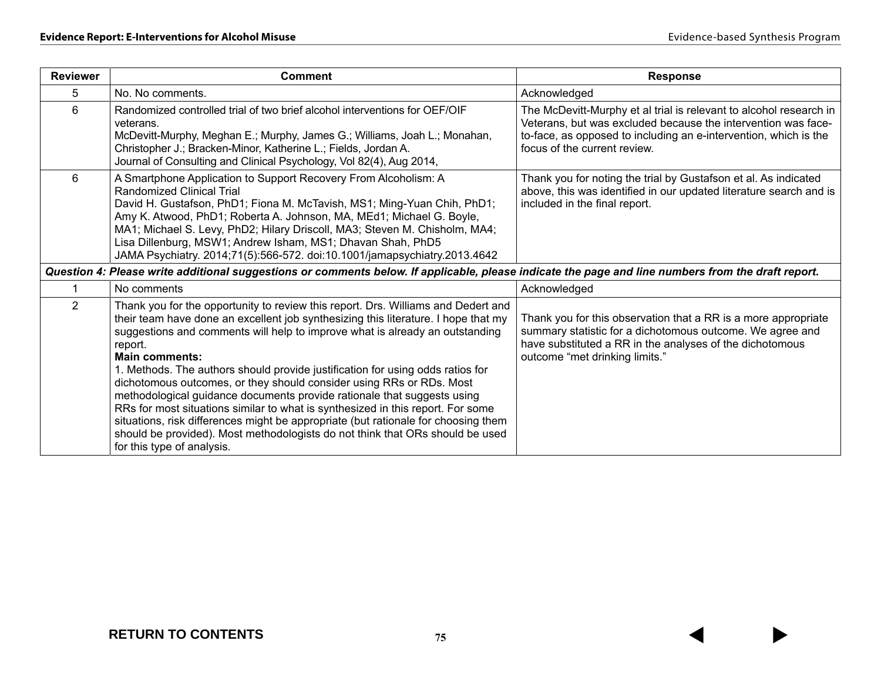| <b>Reviewer</b> | <b>Comment</b>                                                                                                                                                                                                                                                                                                                                                                                                                                                                                                                                                                                                                                                                                                                                                                                                           | <b>Response</b>                                                                                                                                                                                                                         |
|-----------------|--------------------------------------------------------------------------------------------------------------------------------------------------------------------------------------------------------------------------------------------------------------------------------------------------------------------------------------------------------------------------------------------------------------------------------------------------------------------------------------------------------------------------------------------------------------------------------------------------------------------------------------------------------------------------------------------------------------------------------------------------------------------------------------------------------------------------|-----------------------------------------------------------------------------------------------------------------------------------------------------------------------------------------------------------------------------------------|
| 5               | No. No comments.                                                                                                                                                                                                                                                                                                                                                                                                                                                                                                                                                                                                                                                                                                                                                                                                         | Acknowledged                                                                                                                                                                                                                            |
| 6               | Randomized controlled trial of two brief alcohol interventions for OEF/OIF<br>veterans.<br>McDevitt-Murphy, Meghan E.; Murphy, James G.; Williams, Joah L.; Monahan,<br>Christopher J.; Bracken-Minor, Katherine L.; Fields, Jordan A.<br>Journal of Consulting and Clinical Psychology, Vol 82(4), Aug 2014,                                                                                                                                                                                                                                                                                                                                                                                                                                                                                                            | The McDevitt-Murphy et al trial is relevant to alcohol research in<br>Veterans, but was excluded because the intervention was face-<br>to-face, as opposed to including an e-intervention, which is the<br>focus of the current review. |
| 6               | A Smartphone Application to Support Recovery From Alcoholism: A<br><b>Randomized Clinical Trial</b><br>David H. Gustafson, PhD1; Fiona M. McTavish, MS1; Ming-Yuan Chih, PhD1;<br>Amy K. Atwood, PhD1; Roberta A. Johnson, MA, MEd1; Michael G. Boyle,<br>MA1; Michael S. Levy, PhD2; Hilary Driscoll, MA3; Steven M. Chisholm, MA4;<br>Lisa Dillenburg, MSW1; Andrew Isham, MS1; Dhavan Shah, PhD5<br>JAMA Psychiatry. 2014;71(5):566-572. doi:10.1001/jamapsychiatry.2013.4642                                                                                                                                                                                                                                                                                                                                         | Thank you for noting the trial by Gustafson et al. As indicated<br>above, this was identified in our updated literature search and is<br>included in the final report.                                                                  |
|                 | Question 4: Please write additional suggestions or comments below. If applicable, please indicate the page and line numbers from the draft report.                                                                                                                                                                                                                                                                                                                                                                                                                                                                                                                                                                                                                                                                       |                                                                                                                                                                                                                                         |
|                 | No comments                                                                                                                                                                                                                                                                                                                                                                                                                                                                                                                                                                                                                                                                                                                                                                                                              | Acknowledged                                                                                                                                                                                                                            |
| $\overline{2}$  | Thank you for the opportunity to review this report. Drs. Williams and Dedert and<br>their team have done an excellent job synthesizing this literature. I hope that my<br>suggestions and comments will help to improve what is already an outstanding<br>report.<br><b>Main comments:</b><br>1. Methods. The authors should provide justification for using odds ratios for<br>dichotomous outcomes, or they should consider using RRs or RDs. Most<br>methodological guidance documents provide rationale that suggests using<br>RRs for most situations similar to what is synthesized in this report. For some<br>situations, risk differences might be appropriate (but rationale for choosing them<br>should be provided). Most methodologists do not think that ORs should be used<br>for this type of analysis. | Thank you for this observation that a RR is a more appropriate<br>summary statistic for a dichotomous outcome. We agree and<br>have substituted a RR in the analyses of the dichotomous<br>outcome "met drinking limits."               |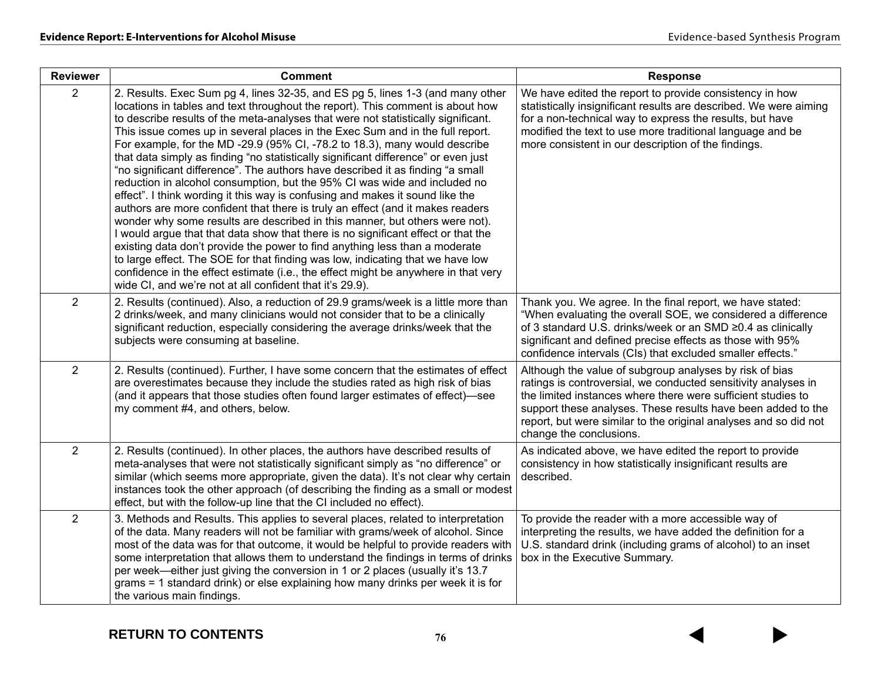| <b>Reviewer</b> | <b>Comment</b>                                                                                                                                                                                                                                                                                                                                                                                                                                                                                                                                                                                                                                                                                                                                                                                                                                                                                                                                                                                                                                                                                                                                                                                                                                                                                                                      | <b>Response</b>                                                                                                                                                                                                                                                                                                                                          |
|-----------------|-------------------------------------------------------------------------------------------------------------------------------------------------------------------------------------------------------------------------------------------------------------------------------------------------------------------------------------------------------------------------------------------------------------------------------------------------------------------------------------------------------------------------------------------------------------------------------------------------------------------------------------------------------------------------------------------------------------------------------------------------------------------------------------------------------------------------------------------------------------------------------------------------------------------------------------------------------------------------------------------------------------------------------------------------------------------------------------------------------------------------------------------------------------------------------------------------------------------------------------------------------------------------------------------------------------------------------------|----------------------------------------------------------------------------------------------------------------------------------------------------------------------------------------------------------------------------------------------------------------------------------------------------------------------------------------------------------|
| $\overline{2}$  | 2. Results. Exec Sum pg 4, lines 32-35, and ES pg 5, lines 1-3 (and many other<br>locations in tables and text throughout the report). This comment is about how<br>to describe results of the meta-analyses that were not statistically significant.<br>This issue comes up in several places in the Exec Sum and in the full report.<br>For example, for the MD -29.9 (95% CI, -78.2 to 18.3), many would describe<br>that data simply as finding "no statistically significant difference" or even just<br>"no significant difference". The authors have described it as finding "a small<br>reduction in alcohol consumption, but the 95% CI was wide and included no<br>effect". I think wording it this way is confusing and makes it sound like the<br>authors are more confident that there is truly an effect (and it makes readers<br>wonder why some results are described in this manner, but others were not).<br>I would argue that that data show that there is no significant effect or that the<br>existing data don't provide the power to find anything less than a moderate<br>to large effect. The SOE for that finding was low, indicating that we have low<br>confidence in the effect estimate (i.e., the effect might be anywhere in that very<br>wide CI, and we're not at all confident that it's 29.9). | We have edited the report to provide consistency in how<br>statistically insignificant results are described. We were aiming<br>for a non-technical way to express the results, but have<br>modified the text to use more traditional language and be<br>more consistent in our description of the findings.                                             |
| $\overline{2}$  | 2. Results (continued). Also, a reduction of 29.9 grams/week is a little more than<br>2 drinks/week, and many clinicians would not consider that to be a clinically<br>significant reduction, especially considering the average drinks/week that the<br>subjects were consuming at baseline.                                                                                                                                                                                                                                                                                                                                                                                                                                                                                                                                                                                                                                                                                                                                                                                                                                                                                                                                                                                                                                       | Thank you. We agree. In the final report, we have stated:<br>"When evaluating the overall SOE, we considered a difference<br>of 3 standard U.S. drinks/week or an SMD ≥0.4 as clinically<br>significant and defined precise effects as those with 95%<br>confidence intervals (CIs) that excluded smaller effects."                                      |
| $\overline{2}$  | 2. Results (continued). Further, I have some concern that the estimates of effect<br>are overestimates because they include the studies rated as high risk of bias<br>(and it appears that those studies often found larger estimates of effect)—see<br>my comment #4, and others, below.                                                                                                                                                                                                                                                                                                                                                                                                                                                                                                                                                                                                                                                                                                                                                                                                                                                                                                                                                                                                                                           | Although the value of subgroup analyses by risk of bias<br>ratings is controversial, we conducted sensitivity analyses in<br>the limited instances where there were sufficient studies to<br>support these analyses. These results have been added to the<br>report, but were similar to the original analyses and so did not<br>change the conclusions. |
| $\overline{2}$  | 2. Results (continued). In other places, the authors have described results of<br>meta-analyses that were not statistically significant simply as "no difference" or<br>similar (which seems more appropriate, given the data). It's not clear why certain<br>instances took the other approach (of describing the finding as a small or modest<br>effect, but with the follow-up line that the CI included no effect).                                                                                                                                                                                                                                                                                                                                                                                                                                                                                                                                                                                                                                                                                                                                                                                                                                                                                                             | As indicated above, we have edited the report to provide<br>consistency in how statistically insignificant results are<br>described.                                                                                                                                                                                                                     |
| $\overline{2}$  | 3. Methods and Results. This applies to several places, related to interpretation<br>of the data. Many readers will not be familiar with grams/week of alcohol. Since<br>most of the data was for that outcome, it would be helpful to provide readers with<br>some interpretation that allows them to understand the findings in terms of drinks<br>per week—either just giving the conversion in 1 or 2 places (usually it's 13.7<br>grams = 1 standard drink) or else explaining how many drinks per week it is for<br>the various main findings.                                                                                                                                                                                                                                                                                                                                                                                                                                                                                                                                                                                                                                                                                                                                                                                | To provide the reader with a more accessible way of<br>interpreting the results, we have added the definition for a<br>U.S. standard drink (including grams of alcohol) to an inset<br>box in the Executive Summary.                                                                                                                                     |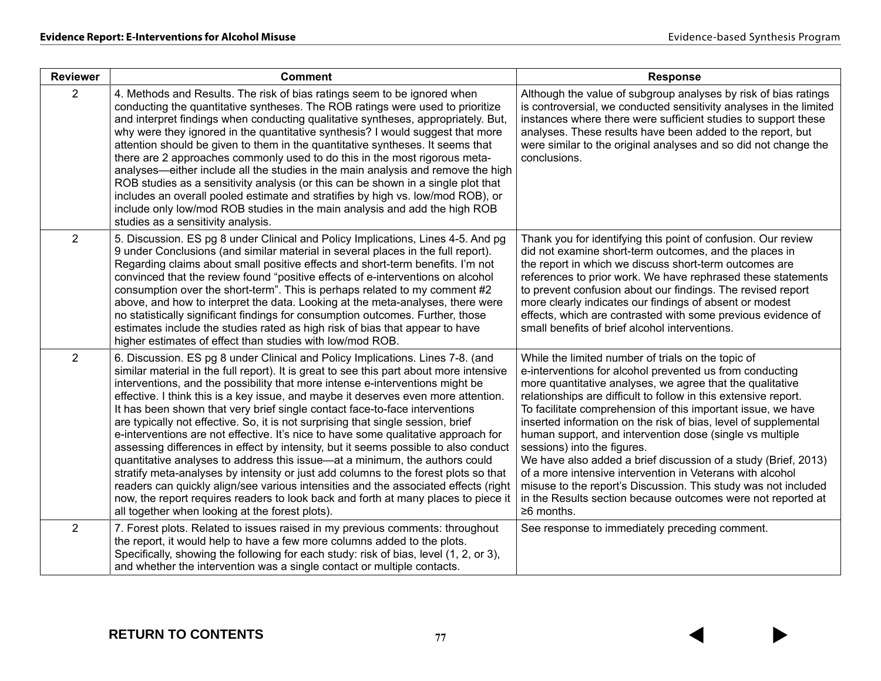| <b>Reviewer</b> | <b>Comment</b>                                                                                                                                                                                                                                                                                                                                                                                                                                                                                                                                                                                                                                                                                                                                                                                                                                                                                                                                                                                                                                                                                         | <b>Response</b>                                                                                                                                                                                                                                                                                                                                                                                                                                                                                                                                                                                                                                                                                                                                                   |
|-----------------|--------------------------------------------------------------------------------------------------------------------------------------------------------------------------------------------------------------------------------------------------------------------------------------------------------------------------------------------------------------------------------------------------------------------------------------------------------------------------------------------------------------------------------------------------------------------------------------------------------------------------------------------------------------------------------------------------------------------------------------------------------------------------------------------------------------------------------------------------------------------------------------------------------------------------------------------------------------------------------------------------------------------------------------------------------------------------------------------------------|-------------------------------------------------------------------------------------------------------------------------------------------------------------------------------------------------------------------------------------------------------------------------------------------------------------------------------------------------------------------------------------------------------------------------------------------------------------------------------------------------------------------------------------------------------------------------------------------------------------------------------------------------------------------------------------------------------------------------------------------------------------------|
| $\overline{2}$  | 4. Methods and Results. The risk of bias ratings seem to be ignored when<br>conducting the quantitative syntheses. The ROB ratings were used to prioritize<br>and interpret findings when conducting qualitative syntheses, appropriately. But,<br>why were they ignored in the quantitative synthesis? I would suggest that more<br>attention should be given to them in the quantitative syntheses. It seems that<br>there are 2 approaches commonly used to do this in the most rigorous meta-<br>analyses—either include all the studies in the main analysis and remove the high<br>ROB studies as a sensitivity analysis (or this can be shown in a single plot that<br>includes an overall pooled estimate and stratifies by high vs. low/mod ROB), or<br>include only low/mod ROB studies in the main analysis and add the high ROB<br>studies as a sensitivity analysis.                                                                                                                                                                                                                      | Although the value of subgroup analyses by risk of bias ratings<br>is controversial, we conducted sensitivity analyses in the limited<br>instances where there were sufficient studies to support these<br>analyses. These results have been added to the report, but<br>were similar to the original analyses and so did not change the<br>conclusions.                                                                                                                                                                                                                                                                                                                                                                                                          |
| $\overline{2}$  | 5. Discussion. ES pg 8 under Clinical and Policy Implications, Lines 4-5. And pg<br>9 under Conclusions (and similar material in several places in the full report).<br>Regarding claims about small positive effects and short-term benefits. I'm not<br>convinced that the review found "positive effects of e-interventions on alcohol<br>consumption over the short-term". This is perhaps related to my comment #2<br>above, and how to interpret the data. Looking at the meta-analyses, there were<br>no statistically significant findings for consumption outcomes. Further, those<br>estimates include the studies rated as high risk of bias that appear to have<br>higher estimates of effect than studies with low/mod ROB.                                                                                                                                                                                                                                                                                                                                                               | Thank you for identifying this point of confusion. Our review<br>did not examine short-term outcomes, and the places in<br>the report in which we discuss short-term outcomes are<br>references to prior work. We have rephrased these statements<br>to prevent confusion about our findings. The revised report<br>more clearly indicates our findings of absent or modest<br>effects, which are contrasted with some previous evidence of<br>small benefits of brief alcohol interventions.                                                                                                                                                                                                                                                                     |
| $\overline{2}$  | 6. Discussion. ES pg 8 under Clinical and Policy Implications. Lines 7-8. (and<br>similar material in the full report). It is great to see this part about more intensive<br>interventions, and the possibility that more intense e-interventions might be<br>effective. I think this is a key issue, and maybe it deserves even more attention.<br>It has been shown that very brief single contact face-to-face interventions<br>are typically not effective. So, it is not surprising that single session, brief<br>e-interventions are not effective. It's nice to have some qualitative approach for<br>assessing differences in effect by intensity, but it seems possible to also conduct<br>quantitative analyses to address this issue—at a minimum, the authors could<br>stratify meta-analyses by intensity or just add columns to the forest plots so that<br>readers can quickly align/see various intensities and the associated effects (right<br>now, the report requires readers to look back and forth at many places to piece it<br>all together when looking at the forest plots). | While the limited number of trials on the topic of<br>e-interventions for alcohol prevented us from conducting<br>more quantitative analyses, we agree that the qualitative<br>relationships are difficult to follow in this extensive report.<br>To facilitate comprehension of this important issue, we have<br>inserted information on the risk of bias, level of supplemental<br>human support, and intervention dose (single vs multiple<br>sessions) into the figures.<br>We have also added a brief discussion of a study (Brief, 2013)<br>of a more intensive intervention in Veterans with alcohol<br>misuse to the report's Discussion. This study was not included<br>in the Results section because outcomes were not reported at<br>$\geq 6$ months. |
| $\overline{2}$  | 7. Forest plots. Related to issues raised in my previous comments: throughout<br>the report, it would help to have a few more columns added to the plots.<br>Specifically, showing the following for each study: risk of bias, level (1, 2, or 3),<br>and whether the intervention was a single contact or multiple contacts.                                                                                                                                                                                                                                                                                                                                                                                                                                                                                                                                                                                                                                                                                                                                                                          | See response to immediately preceding comment.                                                                                                                                                                                                                                                                                                                                                                                                                                                                                                                                                                                                                                                                                                                    |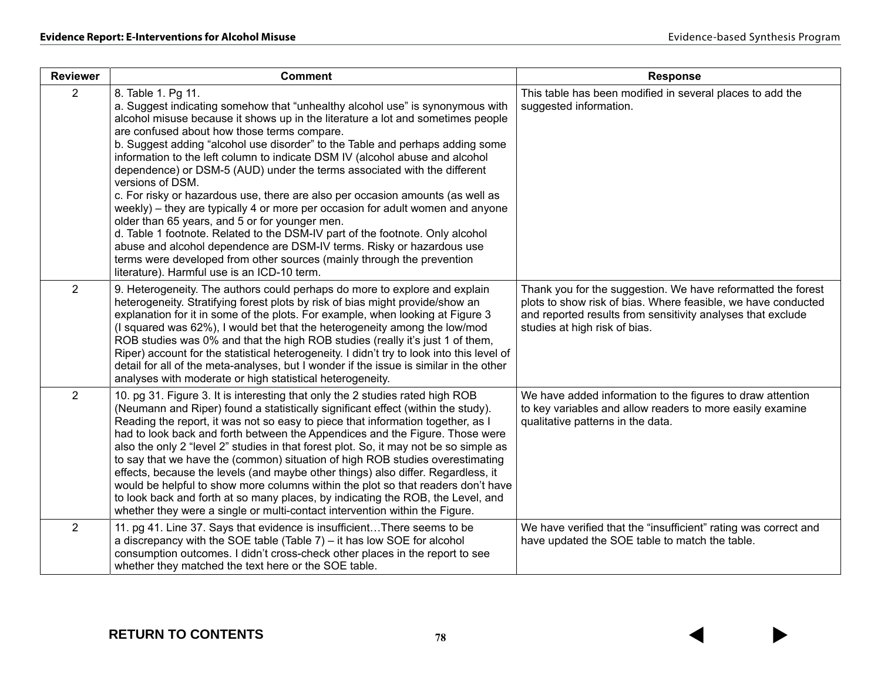| <b>Reviewer</b> | <b>Comment</b>                                                                                                                                                                                                                                                                                                                                                                                                                                                                                                                                                                                                                                                                                                                                                                                                                                                                                                                                                                                                  | <b>Response</b>                                                                                                                                                                                                               |
|-----------------|-----------------------------------------------------------------------------------------------------------------------------------------------------------------------------------------------------------------------------------------------------------------------------------------------------------------------------------------------------------------------------------------------------------------------------------------------------------------------------------------------------------------------------------------------------------------------------------------------------------------------------------------------------------------------------------------------------------------------------------------------------------------------------------------------------------------------------------------------------------------------------------------------------------------------------------------------------------------------------------------------------------------|-------------------------------------------------------------------------------------------------------------------------------------------------------------------------------------------------------------------------------|
| $\overline{2}$  | 8. Table 1. Pg 11.<br>a. Suggest indicating somehow that "unhealthy alcohol use" is synonymous with<br>alcohol misuse because it shows up in the literature a lot and sometimes people<br>are confused about how those terms compare.<br>b. Suggest adding "alcohol use disorder" to the Table and perhaps adding some<br>information to the left column to indicate DSM IV (alcohol abuse and alcohol<br>dependence) or DSM-5 (AUD) under the terms associated with the different<br>versions of DSM.<br>c. For risky or hazardous use, there are also per occasion amounts (as well as<br>weekly) – they are typically 4 or more per occasion for adult women and anyone<br>older than 65 years, and 5 or for younger men.<br>d. Table 1 footnote. Related to the DSM-IV part of the footnote. Only alcohol<br>abuse and alcohol dependence are DSM-IV terms. Risky or hazardous use<br>terms were developed from other sources (mainly through the prevention<br>literature). Harmful use is an ICD-10 term. | This table has been modified in several places to add the<br>suggested information.                                                                                                                                           |
| $\overline{2}$  | 9. Heterogeneity. The authors could perhaps do more to explore and explain<br>heterogeneity. Stratifying forest plots by risk of bias might provide/show an<br>explanation for it in some of the plots. For example, when looking at Figure 3<br>(I squared was 62%), I would bet that the heterogeneity among the low/mod<br>ROB studies was 0% and that the high ROB studies (really it's just 1 of them,<br>Riper) account for the statistical heterogeneity. I didn't try to look into this level of<br>detail for all of the meta-analyses, but I wonder if the issue is similar in the other<br>analyses with moderate or high statistical heterogeneity.                                                                                                                                                                                                                                                                                                                                                 | Thank you for the suggestion. We have reformatted the forest<br>plots to show risk of bias. Where feasible, we have conducted<br>and reported results from sensitivity analyses that exclude<br>studies at high risk of bias. |
| $\overline{2}$  | 10. pg 31. Figure 3. It is interesting that only the 2 studies rated high ROB<br>(Neumann and Riper) found a statistically significant effect (within the study).<br>Reading the report, it was not so easy to piece that information together, as I<br>had to look back and forth between the Appendices and the Figure. Those were<br>also the only 2 "level 2" studies in that forest plot. So, it may not be so simple as<br>to say that we have the (common) situation of high ROB studies overestimating<br>effects, because the levels (and maybe other things) also differ. Regardless, it<br>would be helpful to show more columns within the plot so that readers don't have<br>to look back and forth at so many places, by indicating the ROB, the Level, and<br>whether they were a single or multi-contact intervention within the Figure.                                                                                                                                                        | We have added information to the figures to draw attention<br>to key variables and allow readers to more easily examine<br>qualitative patterns in the data.                                                                  |
| $\overline{2}$  | 11. pg 41. Line 37. Says that evidence is insufficient There seems to be<br>a discrepancy with the SOE table (Table 7) – it has low SOE for alcohol<br>consumption outcomes. I didn't cross-check other places in the report to see<br>whether they matched the text here or the SOE table.                                                                                                                                                                                                                                                                                                                                                                                                                                                                                                                                                                                                                                                                                                                     | We have verified that the "insufficient" rating was correct and<br>have updated the SOE table to match the table.                                                                                                             |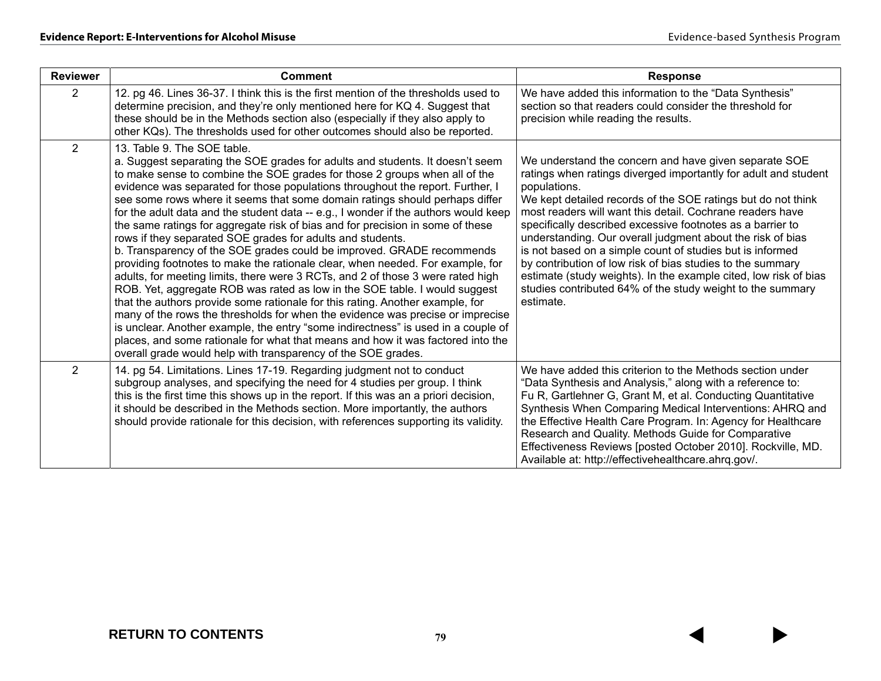| <b>Reviewer</b> | <b>Comment</b>                                                                                                                                                                                                                                                                                                                                                                                                                                                                                                                                                                                                                                                                                                                                                                                                                                                                                                                                                                                                                                                                                                                                                                                                                                                                                                                             | <b>Response</b>                                                                                                                                                                                                                                                                                                                                                                                                                                                                                                                                                                                                                                                             |
|-----------------|--------------------------------------------------------------------------------------------------------------------------------------------------------------------------------------------------------------------------------------------------------------------------------------------------------------------------------------------------------------------------------------------------------------------------------------------------------------------------------------------------------------------------------------------------------------------------------------------------------------------------------------------------------------------------------------------------------------------------------------------------------------------------------------------------------------------------------------------------------------------------------------------------------------------------------------------------------------------------------------------------------------------------------------------------------------------------------------------------------------------------------------------------------------------------------------------------------------------------------------------------------------------------------------------------------------------------------------------|-----------------------------------------------------------------------------------------------------------------------------------------------------------------------------------------------------------------------------------------------------------------------------------------------------------------------------------------------------------------------------------------------------------------------------------------------------------------------------------------------------------------------------------------------------------------------------------------------------------------------------------------------------------------------------|
| 2               | 12. pg 46. Lines 36-37. I think this is the first mention of the thresholds used to<br>determine precision, and they're only mentioned here for KQ 4. Suggest that<br>these should be in the Methods section also (especially if they also apply to<br>other KQs). The thresholds used for other outcomes should also be reported.                                                                                                                                                                                                                                                                                                                                                                                                                                                                                                                                                                                                                                                                                                                                                                                                                                                                                                                                                                                                         | We have added this information to the "Data Synthesis"<br>section so that readers could consider the threshold for<br>precision while reading the results.                                                                                                                                                                                                                                                                                                                                                                                                                                                                                                                  |
| $\overline{2}$  | 13. Table 9. The SOE table.<br>a. Suggest separating the SOE grades for adults and students. It doesn't seem<br>to make sense to combine the SOE grades for those 2 groups when all of the<br>evidence was separated for those populations throughout the report. Further, I<br>see some rows where it seems that some domain ratings should perhaps differ<br>for the adult data and the student data -- e.g., I wonder if the authors would keep<br>the same ratings for aggregate risk of bias and for precision in some of these<br>rows if they separated SOE grades for adults and students.<br>b. Transparency of the SOE grades could be improved. GRADE recommends<br>providing footnotes to make the rationale clear, when needed. For example, for<br>adults, for meeting limits, there were 3 RCTs, and 2 of those 3 were rated high<br>ROB. Yet, aggregate ROB was rated as low in the SOE table. I would suggest<br>that the authors provide some rationale for this rating. Another example, for<br>many of the rows the thresholds for when the evidence was precise or imprecise<br>is unclear. Another example, the entry "some indirectness" is used in a couple of<br>places, and some rationale for what that means and how it was factored into the<br>overall grade would help with transparency of the SOE grades. | We understand the concern and have given separate SOE<br>ratings when ratings diverged importantly for adult and student<br>populations.<br>We kept detailed records of the SOE ratings but do not think<br>most readers will want this detail. Cochrane readers have<br>specifically described excessive footnotes as a barrier to<br>understanding. Our overall judgment about the risk of bias<br>is not based on a simple count of studies but is informed<br>by contribution of low risk of bias studies to the summary<br>estimate (study weights). In the example cited, low risk of bias<br>studies contributed 64% of the study weight to the summary<br>estimate. |
| $\overline{2}$  | 14. pg 54. Limitations. Lines 17-19. Regarding judgment not to conduct<br>subgroup analyses, and specifying the need for 4 studies per group. I think<br>this is the first time this shows up in the report. If this was an a priori decision,<br>it should be described in the Methods section. More importantly, the authors<br>should provide rationale for this decision, with references supporting its validity.                                                                                                                                                                                                                                                                                                                                                                                                                                                                                                                                                                                                                                                                                                                                                                                                                                                                                                                     | We have added this criterion to the Methods section under<br>"Data Synthesis and Analysis," along with a reference to:<br>Fu R, Gartlehner G, Grant M, et al. Conducting Quantitative<br>Synthesis When Comparing Medical Interventions: AHRQ and<br>the Effective Health Care Program. In: Agency for Healthcare<br>Research and Quality. Methods Guide for Comparative<br>Effectiveness Reviews [posted October 2010]. Rockville, MD.<br>Available at: http://effectivehealthcare.ahrg.gov/.                                                                                                                                                                              |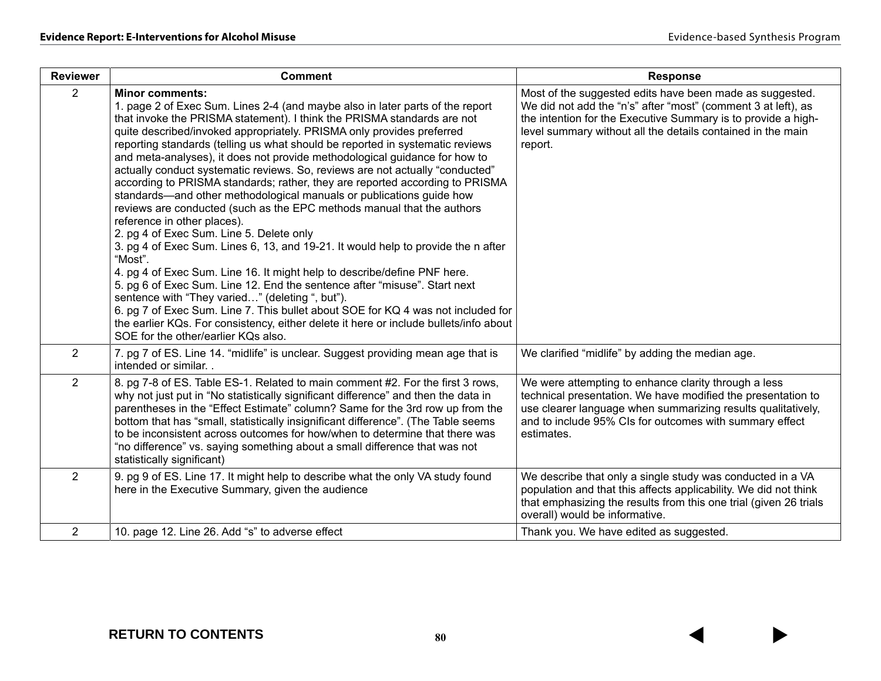| <b>Reviewer</b> | <b>Comment</b>                                                                                                                                                                                                                                                                                                                                                                                                                                                                                                                                                                                                                                                                                                                                                                                                                                                                                                                                                                                                                                                                                                                                                                                                                                                                                                                                           | <b>Response</b>                                                                                                                                                                                                                                                      |
|-----------------|----------------------------------------------------------------------------------------------------------------------------------------------------------------------------------------------------------------------------------------------------------------------------------------------------------------------------------------------------------------------------------------------------------------------------------------------------------------------------------------------------------------------------------------------------------------------------------------------------------------------------------------------------------------------------------------------------------------------------------------------------------------------------------------------------------------------------------------------------------------------------------------------------------------------------------------------------------------------------------------------------------------------------------------------------------------------------------------------------------------------------------------------------------------------------------------------------------------------------------------------------------------------------------------------------------------------------------------------------------|----------------------------------------------------------------------------------------------------------------------------------------------------------------------------------------------------------------------------------------------------------------------|
| $\overline{2}$  | <b>Minor comments:</b><br>1. page 2 of Exec Sum. Lines 2-4 (and maybe also in later parts of the report<br>that invoke the PRISMA statement). I think the PRISMA standards are not<br>quite described/invoked appropriately. PRISMA only provides preferred<br>reporting standards (telling us what should be reported in systematic reviews<br>and meta-analyses), it does not provide methodological guidance for how to<br>actually conduct systematic reviews. So, reviews are not actually "conducted"<br>according to PRISMA standards; rather, they are reported according to PRISMA<br>standards—and other methodological manuals or publications guide how<br>reviews are conducted (such as the EPC methods manual that the authors<br>reference in other places).<br>2. pg 4 of Exec Sum. Line 5. Delete only<br>3. pg 4 of Exec Sum. Lines 6, 13, and 19-21. It would help to provide the n after<br>"Most".<br>4. pg 4 of Exec Sum. Line 16. It might help to describe/define PNF here.<br>5. pg 6 of Exec Sum. Line 12. End the sentence after "misuse". Start next<br>sentence with "They varied" (deleting ", but").<br>6. pg 7 of Exec Sum. Line 7. This bullet about SOE for KQ 4 was not included for<br>the earlier KQs. For consistency, either delete it here or include bullets/info about<br>SOE for the other/earlier KQs also. | Most of the suggested edits have been made as suggested.<br>We did not add the "n's" after "most" (comment 3 at left), as<br>the intention for the Executive Summary is to provide a high-<br>level summary without all the details contained in the main<br>report. |
| $\overline{2}$  | 7. pg 7 of ES. Line 14. "midlife" is unclear. Suggest providing mean age that is<br>intended or similar                                                                                                                                                                                                                                                                                                                                                                                                                                                                                                                                                                                                                                                                                                                                                                                                                                                                                                                                                                                                                                                                                                                                                                                                                                                  | We clarified "midlife" by adding the median age.                                                                                                                                                                                                                     |
| $\overline{2}$  | 8. pg 7-8 of ES. Table ES-1. Related to main comment #2. For the first 3 rows,<br>why not just put in "No statistically significant difference" and then the data in<br>parentheses in the "Effect Estimate" column? Same for the 3rd row up from the<br>bottom that has "small, statistically insignificant difference". (The Table seems<br>to be inconsistent across outcomes for how/when to determine that there was<br>"no difference" vs. saying something about a small difference that was not<br>statistically significant)                                                                                                                                                                                                                                                                                                                                                                                                                                                                                                                                                                                                                                                                                                                                                                                                                    | We were attempting to enhance clarity through a less<br>technical presentation. We have modified the presentation to<br>use clearer language when summarizing results qualitatively,<br>and to include 95% CIs for outcomes with summary effect<br>estimates.        |
| $\overline{2}$  | 9. pg 9 of ES. Line 17. It might help to describe what the only VA study found<br>here in the Executive Summary, given the audience                                                                                                                                                                                                                                                                                                                                                                                                                                                                                                                                                                                                                                                                                                                                                                                                                                                                                                                                                                                                                                                                                                                                                                                                                      | We describe that only a single study was conducted in a VA<br>population and that this affects applicability. We did not think                                                                                                                                       |
|                 |                                                                                                                                                                                                                                                                                                                                                                                                                                                                                                                                                                                                                                                                                                                                                                                                                                                                                                                                                                                                                                                                                                                                                                                                                                                                                                                                                          | that emphasizing the results from this one trial (given 26 trials<br>overall) would be informative.                                                                                                                                                                  |
| $\overline{2}$  | 10. page 12. Line 26. Add "s" to adverse effect                                                                                                                                                                                                                                                                                                                                                                                                                                                                                                                                                                                                                                                                                                                                                                                                                                                                                                                                                                                                                                                                                                                                                                                                                                                                                                          | Thank you. We have edited as suggested.                                                                                                                                                                                                                              |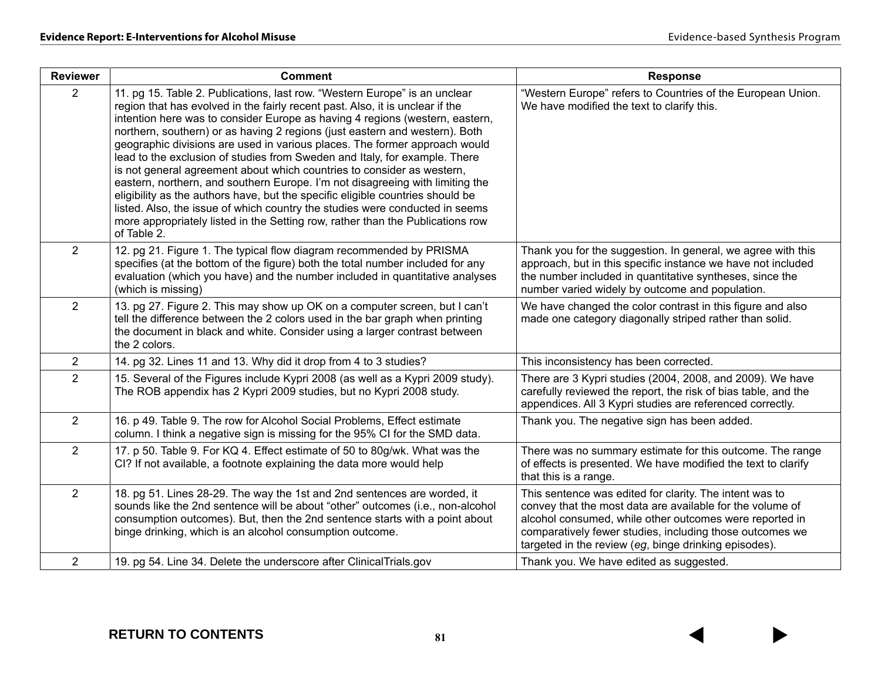| <b>Reviewer</b> | <b>Comment</b>                                                                                                                                                                                                                                                                                                                                                                                                                                                                                                                                                                                                                                                                                                                                                                                                                                                                                                       | <b>Response</b>                                                                                                                                                                                                                                                                                      |
|-----------------|----------------------------------------------------------------------------------------------------------------------------------------------------------------------------------------------------------------------------------------------------------------------------------------------------------------------------------------------------------------------------------------------------------------------------------------------------------------------------------------------------------------------------------------------------------------------------------------------------------------------------------------------------------------------------------------------------------------------------------------------------------------------------------------------------------------------------------------------------------------------------------------------------------------------|------------------------------------------------------------------------------------------------------------------------------------------------------------------------------------------------------------------------------------------------------------------------------------------------------|
| $\overline{2}$  | 11. pg 15. Table 2. Publications, last row. "Western Europe" is an unclear<br>region that has evolved in the fairly recent past. Also, it is unclear if the<br>intention here was to consider Europe as having 4 regions (western, eastern,<br>northern, southern) or as having 2 regions (just eastern and western). Both<br>geographic divisions are used in various places. The former approach would<br>lead to the exclusion of studies from Sweden and Italy, for example. There<br>is not general agreement about which countries to consider as western,<br>eastern, northern, and southern Europe. I'm not disagreeing with limiting the<br>eligibility as the authors have, but the specific eligible countries should be<br>listed. Also, the issue of which country the studies were conducted in seems<br>more appropriately listed in the Setting row, rather than the Publications row<br>of Table 2. | "Western Europe" refers to Countries of the European Union.<br>We have modified the text to clarify this.                                                                                                                                                                                            |
| $\overline{2}$  | 12. pg 21. Figure 1. The typical flow diagram recommended by PRISMA<br>specifies (at the bottom of the figure) both the total number included for any<br>evaluation (which you have) and the number included in quantitative analyses<br>(which is missing)                                                                                                                                                                                                                                                                                                                                                                                                                                                                                                                                                                                                                                                          | Thank you for the suggestion. In general, we agree with this<br>approach, but in this specific instance we have not included<br>the number included in quantitative syntheses, since the<br>number varied widely by outcome and population.                                                          |
| $\overline{2}$  | 13. pg 27. Figure 2. This may show up OK on a computer screen, but I can't<br>tell the difference between the 2 colors used in the bar graph when printing<br>the document in black and white. Consider using a larger contrast between<br>the 2 colors.                                                                                                                                                                                                                                                                                                                                                                                                                                                                                                                                                                                                                                                             | We have changed the color contrast in this figure and also<br>made one category diagonally striped rather than solid.                                                                                                                                                                                |
| $\overline{2}$  | 14. pg 32. Lines 11 and 13. Why did it drop from 4 to 3 studies?                                                                                                                                                                                                                                                                                                                                                                                                                                                                                                                                                                                                                                                                                                                                                                                                                                                     | This inconsistency has been corrected.                                                                                                                                                                                                                                                               |
| $\overline{2}$  | 15. Several of the Figures include Kypri 2008 (as well as a Kypri 2009 study).<br>The ROB appendix has 2 Kypri 2009 studies, but no Kypri 2008 study.                                                                                                                                                                                                                                                                                                                                                                                                                                                                                                                                                                                                                                                                                                                                                                | There are 3 Kypri studies (2004, 2008, and 2009). We have<br>carefully reviewed the report, the risk of bias table, and the<br>appendices. All 3 Kypri studies are referenced correctly.                                                                                                             |
| $\overline{2}$  | 16. p 49. Table 9. The row for Alcohol Social Problems, Effect estimate<br>column. I think a negative sign is missing for the 95% CI for the SMD data.                                                                                                                                                                                                                                                                                                                                                                                                                                                                                                                                                                                                                                                                                                                                                               | Thank you. The negative sign has been added.                                                                                                                                                                                                                                                         |
| $\overline{2}$  | 17. p 50. Table 9. For KQ 4. Effect estimate of 50 to 80g/wk. What was the<br>CI? If not available, a footnote explaining the data more would help                                                                                                                                                                                                                                                                                                                                                                                                                                                                                                                                                                                                                                                                                                                                                                   | There was no summary estimate for this outcome. The range<br>of effects is presented. We have modified the text to clarify<br>that this is a range.                                                                                                                                                  |
| $\overline{2}$  | 18. pg 51. Lines 28-29. The way the 1st and 2nd sentences are worded, it<br>sounds like the 2nd sentence will be about "other" outcomes (i.e., non-alcohol<br>consumption outcomes). But, then the 2nd sentence starts with a point about<br>binge drinking, which is an alcohol consumption outcome.                                                                                                                                                                                                                                                                                                                                                                                                                                                                                                                                                                                                                | This sentence was edited for clarity. The intent was to<br>convey that the most data are available for the volume of<br>alcohol consumed, while other outcomes were reported in<br>comparatively fewer studies, including those outcomes we<br>targeted in the review (eg, binge drinking episodes). |
| $\overline{2}$  | 19. pg 54. Line 34. Delete the underscore after ClinicalTrials.gov                                                                                                                                                                                                                                                                                                                                                                                                                                                                                                                                                                                                                                                                                                                                                                                                                                                   | Thank you. We have edited as suggested.                                                                                                                                                                                                                                                              |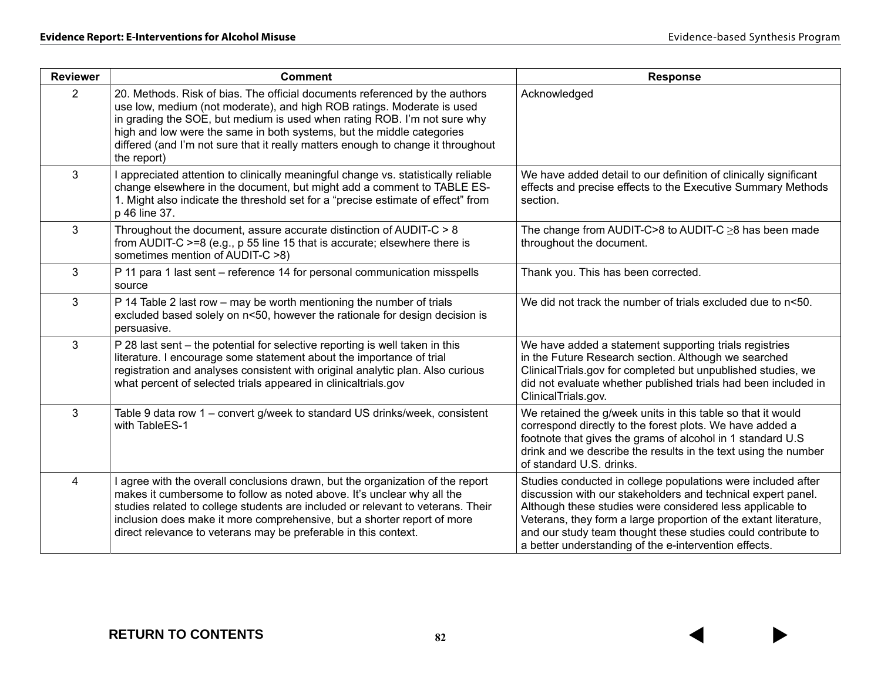| <b>Reviewer</b>         | <b>Comment</b>                                                                                                                                                                                                                                                                                                                                                                                                | <b>Response</b>                                                                                                                                                                                                                                                                                                                                                                        |
|-------------------------|---------------------------------------------------------------------------------------------------------------------------------------------------------------------------------------------------------------------------------------------------------------------------------------------------------------------------------------------------------------------------------------------------------------|----------------------------------------------------------------------------------------------------------------------------------------------------------------------------------------------------------------------------------------------------------------------------------------------------------------------------------------------------------------------------------------|
| $\overline{2}$          | 20. Methods. Risk of bias. The official documents referenced by the authors<br>use low, medium (not moderate), and high ROB ratings. Moderate is used<br>in grading the SOE, but medium is used when rating ROB. I'm not sure why<br>high and low were the same in both systems, but the middle categories<br>differed (and I'm not sure that it really matters enough to change it throughout<br>the report) | Acknowledged                                                                                                                                                                                                                                                                                                                                                                           |
| 3                       | I appreciated attention to clinically meaningful change vs. statistically reliable<br>change elsewhere in the document, but might add a comment to TABLE ES-<br>1. Might also indicate the threshold set for a "precise estimate of effect" from<br>p 46 line 37.                                                                                                                                             | We have added detail to our definition of clinically significant<br>effects and precise effects to the Executive Summary Methods<br>section.                                                                                                                                                                                                                                           |
| 3                       | Throughout the document, assure accurate distinction of AUDIT-C > 8<br>from AUDIT-C >=8 (e.g., p 55 line 15 that is accurate; elsewhere there is<br>sometimes mention of AUDIT-C >8)                                                                                                                                                                                                                          | The change from AUDIT-C>8 to AUDIT-C $\geq$ 8 has been made<br>throughout the document.                                                                                                                                                                                                                                                                                                |
| 3                       | P 11 para 1 last sent - reference 14 for personal communication misspells<br>source                                                                                                                                                                                                                                                                                                                           | Thank you. This has been corrected.                                                                                                                                                                                                                                                                                                                                                    |
| 3                       | P 14 Table 2 last row - may be worth mentioning the number of trials<br>excluded based solely on n<50, however the rationale for design decision is<br>persuasive.                                                                                                                                                                                                                                            | We did not track the number of trials excluded due to n<50.                                                                                                                                                                                                                                                                                                                            |
| 3                       | P 28 last sent - the potential for selective reporting is well taken in this<br>literature. I encourage some statement about the importance of trial<br>registration and analyses consistent with original analytic plan. Also curious<br>what percent of selected trials appeared in clinicaltrials.gov                                                                                                      | We have added a statement supporting trials registries<br>in the Future Research section. Although we searched<br>ClinicalTrials.gov for completed but unpublished studies, we<br>did not evaluate whether published trials had been included in<br>ClinicalTrials.gov.                                                                                                                |
| 3                       | Table 9 data row 1 – convert g/week to standard US drinks/week, consistent<br>with TableES-1                                                                                                                                                                                                                                                                                                                  | We retained the g/week units in this table so that it would<br>correspond directly to the forest plots. We have added a<br>footnote that gives the grams of alcohol in 1 standard U.S<br>drink and we describe the results in the text using the number<br>of standard U.S. drinks.                                                                                                    |
| $\overline{\mathbf{4}}$ | I agree with the overall conclusions drawn, but the organization of the report<br>makes it cumbersome to follow as noted above. It's unclear why all the<br>studies related to college students are included or relevant to veterans. Their<br>inclusion does make it more comprehensive, but a shorter report of more<br>direct relevance to veterans may be preferable in this context.                     | Studies conducted in college populations were included after<br>discussion with our stakeholders and technical expert panel.<br>Although these studies were considered less applicable to<br>Veterans, they form a large proportion of the extant literature,<br>and our study team thought these studies could contribute to<br>a better understanding of the e-intervention effects. |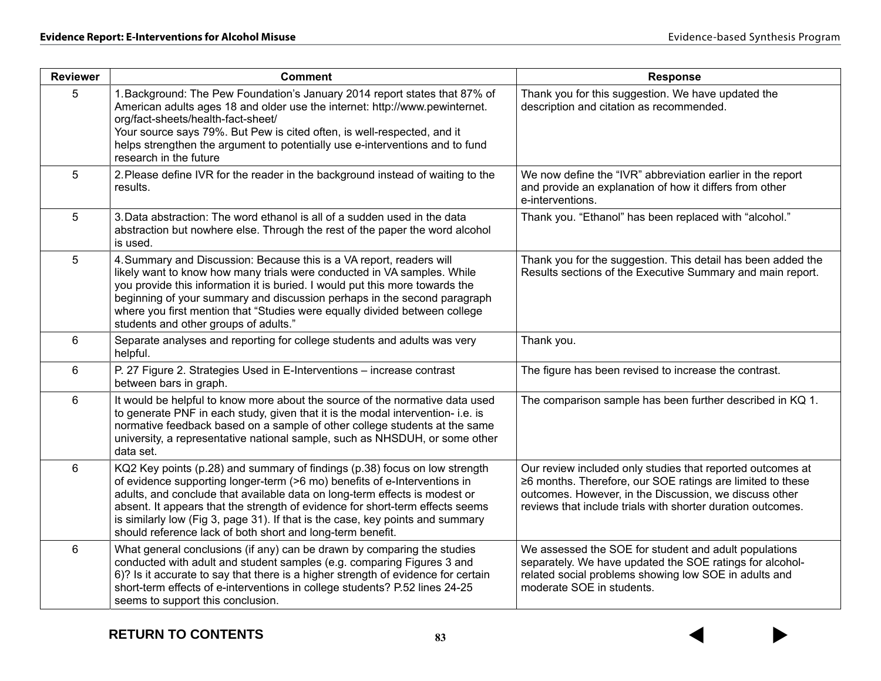| <b>Reviewer</b> | <b>Comment</b>                                                                                                                                                                                                                                                                                                                                                                                                                                                         | <b>Response</b>                                                                                                                                                                                                                                   |  |  |  |
|-----------------|------------------------------------------------------------------------------------------------------------------------------------------------------------------------------------------------------------------------------------------------------------------------------------------------------------------------------------------------------------------------------------------------------------------------------------------------------------------------|---------------------------------------------------------------------------------------------------------------------------------------------------------------------------------------------------------------------------------------------------|--|--|--|
| 5               | 1. Background: The Pew Foundation's January 2014 report states that 87% of<br>American adults ages 18 and older use the internet: http://www.pewinternet.<br>org/fact-sheets/health-fact-sheet/<br>Your source says 79%. But Pew is cited often, is well-respected, and it<br>helps strengthen the argument to potentially use e-interventions and to fund<br>research in the future                                                                                   | Thank you for this suggestion. We have updated the<br>description and citation as recommended.                                                                                                                                                    |  |  |  |
| 5               | 2. Please define IVR for the reader in the background instead of waiting to the<br>results.                                                                                                                                                                                                                                                                                                                                                                            | We now define the "IVR" abbreviation earlier in the report<br>and provide an explanation of how it differs from other<br>e-interventions.                                                                                                         |  |  |  |
| 5               | 3. Data abstraction: The word ethanol is all of a sudden used in the data<br>abstraction but nowhere else. Through the rest of the paper the word alcohol<br>is used.                                                                                                                                                                                                                                                                                                  | Thank you. "Ethanol" has been replaced with "alcohol."                                                                                                                                                                                            |  |  |  |
| 5               | 4. Summary and Discussion: Because this is a VA report, readers will<br>likely want to know how many trials were conducted in VA samples. While<br>you provide this information it is buried. I would put this more towards the<br>beginning of your summary and discussion perhaps in the second paragraph<br>where you first mention that "Studies were equally divided between college<br>students and other groups of adults."                                     | Thank you for the suggestion. This detail has been added the<br>Results sections of the Executive Summary and main report.                                                                                                                        |  |  |  |
| 6               | Separate analyses and reporting for college students and adults was very<br>helpful.                                                                                                                                                                                                                                                                                                                                                                                   | Thank you.                                                                                                                                                                                                                                        |  |  |  |
| 6               | P. 27 Figure 2. Strategies Used in E-Interventions - increase contrast<br>between bars in graph.                                                                                                                                                                                                                                                                                                                                                                       | The figure has been revised to increase the contrast.                                                                                                                                                                                             |  |  |  |
| 6               | It would be helpful to know more about the source of the normative data used<br>to generate PNF in each study, given that it is the modal intervention- i.e. is<br>normative feedback based on a sample of other college students at the same<br>university, a representative national sample, such as NHSDUH, or some other<br>data set.                                                                                                                              | The comparison sample has been further described in KQ 1.                                                                                                                                                                                         |  |  |  |
| 6               | KQ2 Key points (p.28) and summary of findings (p.38) focus on low strength<br>of evidence supporting longer-term (>6 mo) benefits of e-Interventions in<br>adults, and conclude that available data on long-term effects is modest or<br>absent. It appears that the strength of evidence for short-term effects seems<br>is similarly low (Fig 3, page 31). If that is the case, key points and summary<br>should reference lack of both short and long-term benefit. | Our review included only studies that reported outcomes at<br>≥6 months. Therefore, our SOE ratings are limited to these<br>outcomes. However, in the Discussion, we discuss other<br>reviews that include trials with shorter duration outcomes. |  |  |  |
| 6               | What general conclusions (if any) can be drawn by comparing the studies<br>conducted with adult and student samples (e.g. comparing Figures 3 and<br>6)? Is it accurate to say that there is a higher strength of evidence for certain<br>short-term effects of e-interventions in college students? P.52 lines 24-25<br>seems to support this conclusion.                                                                                                             | We assessed the SOE for student and adult populations<br>separately. We have updated the SOE ratings for alcohol-<br>related social problems showing low SOE in adults and<br>moderate SOE in students.                                           |  |  |  |

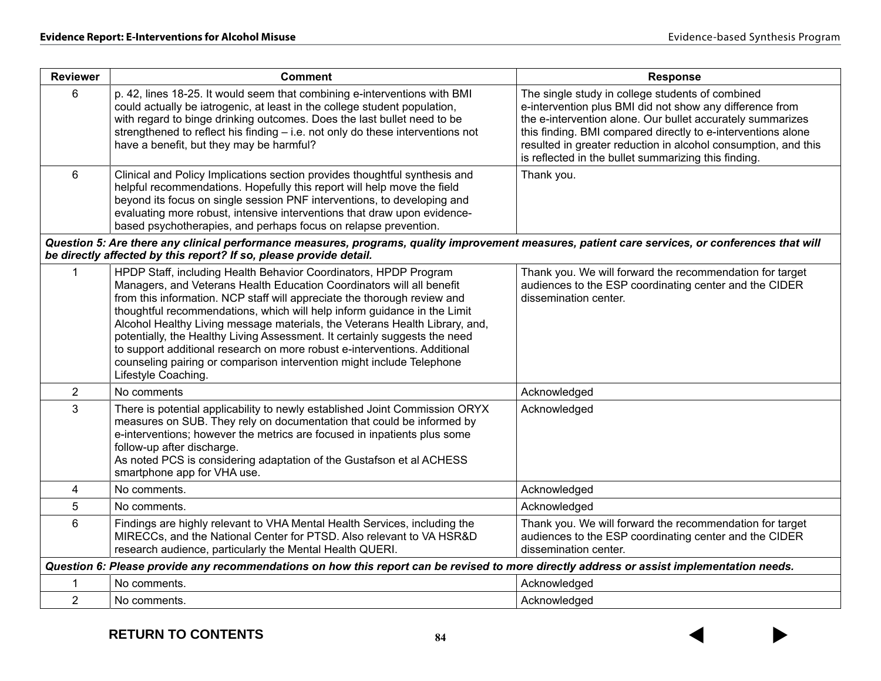| <b>Reviewer</b> | <b>Comment</b>                                                                                                                                                                                                                                                                                                                                                                                                                                                                                                                                                                                                                              | <b>Response</b>                                                                                                                                                                                                                                                                                                                                                      |
|-----------------|---------------------------------------------------------------------------------------------------------------------------------------------------------------------------------------------------------------------------------------------------------------------------------------------------------------------------------------------------------------------------------------------------------------------------------------------------------------------------------------------------------------------------------------------------------------------------------------------------------------------------------------------|----------------------------------------------------------------------------------------------------------------------------------------------------------------------------------------------------------------------------------------------------------------------------------------------------------------------------------------------------------------------|
| 6               | p. 42, lines 18-25. It would seem that combining e-interventions with BMI<br>could actually be iatrogenic, at least in the college student population,<br>with regard to binge drinking outcomes. Does the last bullet need to be<br>strengthened to reflect his finding - i.e. not only do these interventions not<br>have a benefit, but they may be harmful?                                                                                                                                                                                                                                                                             | The single study in college students of combined<br>e-intervention plus BMI did not show any difference from<br>the e-intervention alone. Our bullet accurately summarizes<br>this finding. BMI compared directly to e-interventions alone<br>resulted in greater reduction in alcohol consumption, and this<br>is reflected in the bullet summarizing this finding. |
| 6               | Clinical and Policy Implications section provides thoughtful synthesis and<br>helpful recommendations. Hopefully this report will help move the field<br>beyond its focus on single session PNF interventions, to developing and<br>evaluating more robust, intensive interventions that draw upon evidence-<br>based psychotherapies, and perhaps focus on relapse prevention.                                                                                                                                                                                                                                                             | Thank you.                                                                                                                                                                                                                                                                                                                                                           |
|                 | Question 5: Are there any clinical performance measures, programs, quality improvement measures, patient care services, or conferences that will<br>be directly affected by this report? If so, please provide detail.                                                                                                                                                                                                                                                                                                                                                                                                                      |                                                                                                                                                                                                                                                                                                                                                                      |
| $\mathbf{1}$    | HPDP Staff, including Health Behavior Coordinators, HPDP Program<br>Managers, and Veterans Health Education Coordinators will all benefit<br>from this information. NCP staff will appreciate the thorough review and<br>thoughtful recommendations, which will help inform guidance in the Limit<br>Alcohol Healthy Living message materials, the Veterans Health Library, and,<br>potentially, the Healthy Living Assessment. It certainly suggests the need<br>to support additional research on more robust e-interventions. Additional<br>counseling pairing or comparison intervention might include Telephone<br>Lifestyle Coaching. | Thank you. We will forward the recommendation for target<br>audiences to the ESP coordinating center and the CIDER<br>dissemination center.                                                                                                                                                                                                                          |
| $\overline{2}$  | No comments                                                                                                                                                                                                                                                                                                                                                                                                                                                                                                                                                                                                                                 | Acknowledged                                                                                                                                                                                                                                                                                                                                                         |
| 3               | There is potential applicability to newly established Joint Commission ORYX<br>measures on SUB. They rely on documentation that could be informed by<br>e-interventions; however the metrics are focused in inpatients plus some<br>follow-up after discharge.<br>As noted PCS is considering adaptation of the Gustafson et al ACHESS<br>smartphone app for VHA use.                                                                                                                                                                                                                                                                       | Acknowledged                                                                                                                                                                                                                                                                                                                                                         |
| 4               | No comments.                                                                                                                                                                                                                                                                                                                                                                                                                                                                                                                                                                                                                                | Acknowledged                                                                                                                                                                                                                                                                                                                                                         |
| 5               | No comments.                                                                                                                                                                                                                                                                                                                                                                                                                                                                                                                                                                                                                                | Acknowledged                                                                                                                                                                                                                                                                                                                                                         |
| 6               | Findings are highly relevant to VHA Mental Health Services, including the<br>MIRECCs, and the National Center for PTSD. Also relevant to VA HSR&D<br>research audience, particularly the Mental Health QUERI.                                                                                                                                                                                                                                                                                                                                                                                                                               | Thank you. We will forward the recommendation for target<br>audiences to the ESP coordinating center and the CIDER<br>dissemination center.                                                                                                                                                                                                                          |
|                 | Question 6: Please provide any recommendations on how this report can be revised to more directly address or assist implementation needs.                                                                                                                                                                                                                                                                                                                                                                                                                                                                                                   |                                                                                                                                                                                                                                                                                                                                                                      |
| 1               | No comments.                                                                                                                                                                                                                                                                                                                                                                                                                                                                                                                                                                                                                                | Acknowledged                                                                                                                                                                                                                                                                                                                                                         |
| $\overline{2}$  | No comments.                                                                                                                                                                                                                                                                                                                                                                                                                                                                                                                                                                                                                                | Acknowledged                                                                                                                                                                                                                                                                                                                                                         |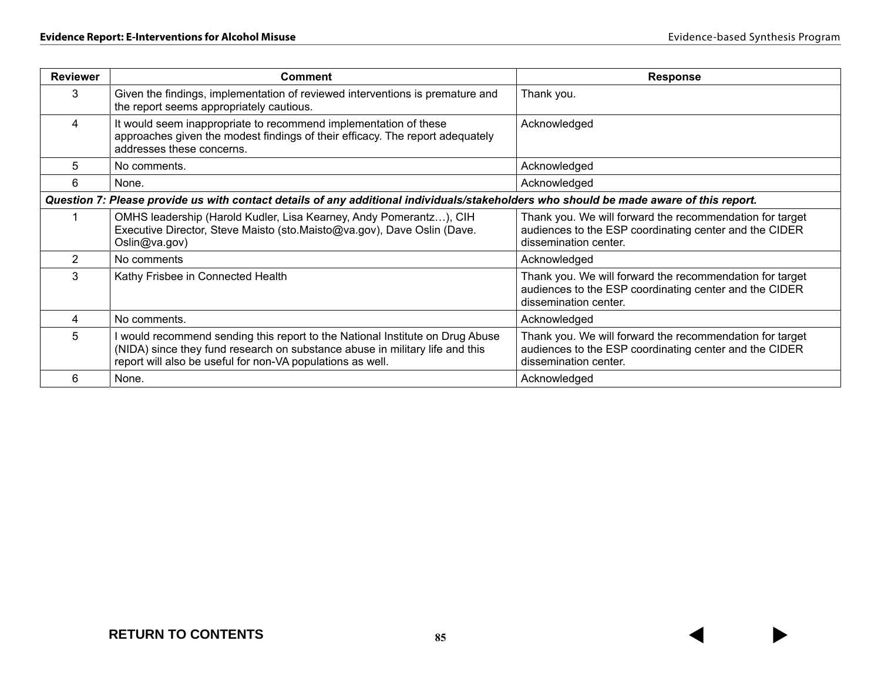| <b>Reviewer</b> | <b>Comment</b>                                                                                                                                                                                                              | <b>Response</b>                                                                                                                             |  |  |
|-----------------|-----------------------------------------------------------------------------------------------------------------------------------------------------------------------------------------------------------------------------|---------------------------------------------------------------------------------------------------------------------------------------------|--|--|
| 3               | Given the findings, implementation of reviewed interventions is premature and<br>the report seems appropriately cautious.                                                                                                   | Thank you.                                                                                                                                  |  |  |
| 4               | It would seem inappropriate to recommend implementation of these<br>approaches given the modest findings of their efficacy. The report adequately<br>addresses these concerns.                                              | Acknowledged                                                                                                                                |  |  |
| 5               | No comments.                                                                                                                                                                                                                | Acknowledged                                                                                                                                |  |  |
| 6               | None.                                                                                                                                                                                                                       | Acknowledged                                                                                                                                |  |  |
|                 | Question 7: Please provide us with contact details of any additional individuals/stakeholders who should be made aware of this report.                                                                                      |                                                                                                                                             |  |  |
|                 | OMHS leadership (Harold Kudler, Lisa Kearney, Andy Pomerantz), CIH<br>Executive Director, Steve Maisto (sto.Maisto@va.gov), Dave Oslin (Dave.<br>Oslin@va.gov)                                                              | Thank you. We will forward the recommendation for target<br>audiences to the ESP coordinating center and the CIDER<br>dissemination center. |  |  |
| 2               | No comments                                                                                                                                                                                                                 | Acknowledged                                                                                                                                |  |  |
| 3               | Kathy Frisbee in Connected Health                                                                                                                                                                                           | Thank you. We will forward the recommendation for target<br>audiences to the ESP coordinating center and the CIDER<br>dissemination center. |  |  |
| 4               | No comments.                                                                                                                                                                                                                | Acknowledged                                                                                                                                |  |  |
| 5               | I would recommend sending this report to the National Institute on Drug Abuse<br>(NIDA) since they fund research on substance abuse in military life and this<br>report will also be useful for non-VA populations as well. | Thank you. We will forward the recommendation for target<br>audiences to the ESP coordinating center and the CIDER<br>dissemination center. |  |  |
| 6               | None.                                                                                                                                                                                                                       | Acknowledged                                                                                                                                |  |  |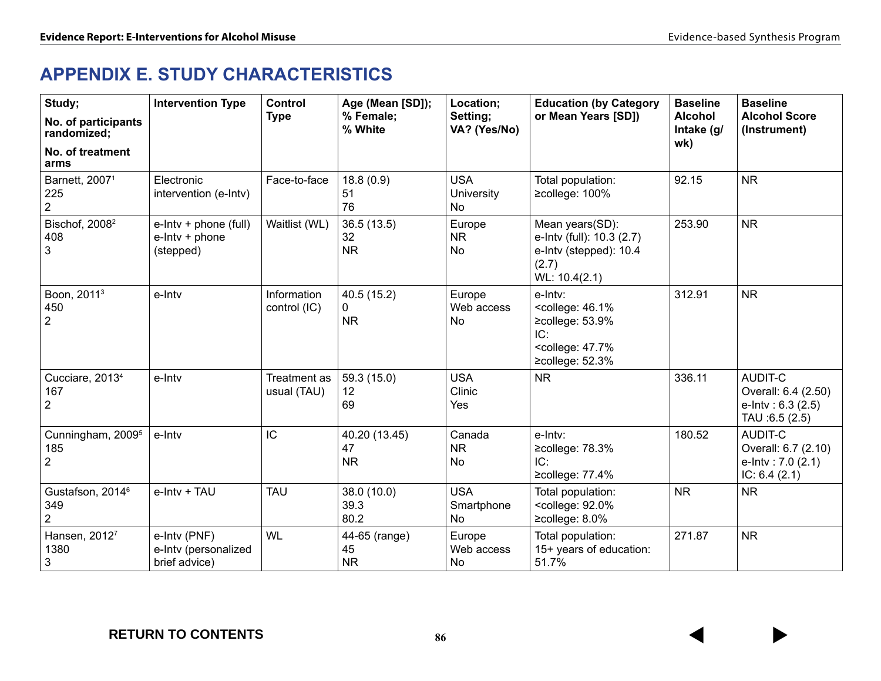# **APPENDIX E. STUDY CHARACTERISTICS**

| Study;<br>No. of participants<br>randomized;<br>No. of treatment<br>arms | <b>Intervention Type</b>                                | <b>Control</b><br><b>Type</b> | Age (Mean [SD]);<br>% Female;<br>% White | Location;<br>Setting;<br>VA? (Yes/No) | <b>Education (by Category</b><br>or Mean Years [SD])                                                                                     | <b>Baseline</b><br><b>Alcohol</b><br>Intake (g/<br>wk) | <b>Baseline</b><br><b>Alcohol Score</b><br>(Instrument)                      |
|--------------------------------------------------------------------------|---------------------------------------------------------|-------------------------------|------------------------------------------|---------------------------------------|------------------------------------------------------------------------------------------------------------------------------------------|--------------------------------------------------------|------------------------------------------------------------------------------|
| Barnett, 2007 <sup>1</sup><br>225<br>$\overline{2}$                      | Electronic<br>intervention (e-Intv)                     | Face-to-face                  | 18.8(0.9)<br>51<br>76                    | <b>USA</b><br>University<br>No        | Total population:<br>≥college: 100%                                                                                                      | 92.15                                                  | <b>NR</b>                                                                    |
| Bischof, 2008 <sup>2</sup><br>408<br>3                                   | e-Intv + phone (full)<br>$e$ -Intv + phone<br>(stepped) | Waitlist (WL)                 | 36.5(13.5)<br>32<br><b>NR</b>            | Europe<br><b>NR</b><br><b>No</b>      | Mean years(SD):<br>e-Intv (full): 10.3 (2.7)<br>e-Intv (stepped): 10.4<br>(2.7)<br>WL: 10.4(2.1)                                         | 253.90                                                 | <b>NR</b>                                                                    |
| Boon, 2011 <sup>3</sup><br>450<br>$\overline{2}$                         | e-Intv                                                  | Information<br>control (IC)   | 40.5 (15.2)<br>0<br><b>NR</b>            | Europe<br>Web access<br>No            | e-Intv:<br><college: 46.1%<br="">≥college: 53.9%<br/>IC:<br/><college: 47.7%<br=""><math>\geq</math>college: 52.3%</college:></college:> | 312.91                                                 | <b>NR</b>                                                                    |
| Cucciare, 2013 <sup>4</sup><br>167<br>$\overline{2}$                     | e-Intv                                                  | Treatment as<br>usual (TAU)   | 59.3 (15.0)<br>12<br>69                  | <b>USA</b><br>Clinic<br>Yes           | <b>NR</b>                                                                                                                                | 336.11                                                 | AUDIT-C<br>Overall: 6.4 (2.50)<br>e-Intv: $6.3(2.5)$<br>TAU :6.5 (2.5)       |
| Cunningham, 2009 <sup>5</sup><br>185<br>$\overline{2}$                   | e-Intv                                                  | IC                            | 40.20 (13.45)<br>47<br><b>NR</b>         | Canada<br><b>NR</b><br>No             | e-Intv:<br>≥college: 78.3%<br>IC:<br>≥college: 77.4%                                                                                     | 180.52                                                 | <b>AUDIT-C</b><br>Overall: 6.7 (2.10)<br>e-Intv: 7.0 (2.1)<br>IC: $6.4(2.1)$ |
| Gustafson, 2014 <sup>6</sup><br>349<br>$\overline{2}$                    | e-Intv + TAU                                            | <b>TAU</b>                    | 38.0 (10.0)<br>39.3<br>80.2              | <b>USA</b><br>Smartphone<br>No        | Total population:<br><college: 92.0%<br="">≥college: 8.0%</college:>                                                                     | <b>NR</b>                                              | <b>NR</b>                                                                    |
| Hansen, 20127<br>1380<br>$\mathbf{3}$                                    | e-Intv (PNF)<br>e-Intv (personalized<br>brief advice)   | <b>WL</b>                     | 44-65 (range)<br>45<br><b>NR</b>         | Europe<br>Web access<br>No            | Total population:<br>15+ years of education:<br>51.7%                                                                                    | 271.87                                                 | <b>NR</b>                                                                    |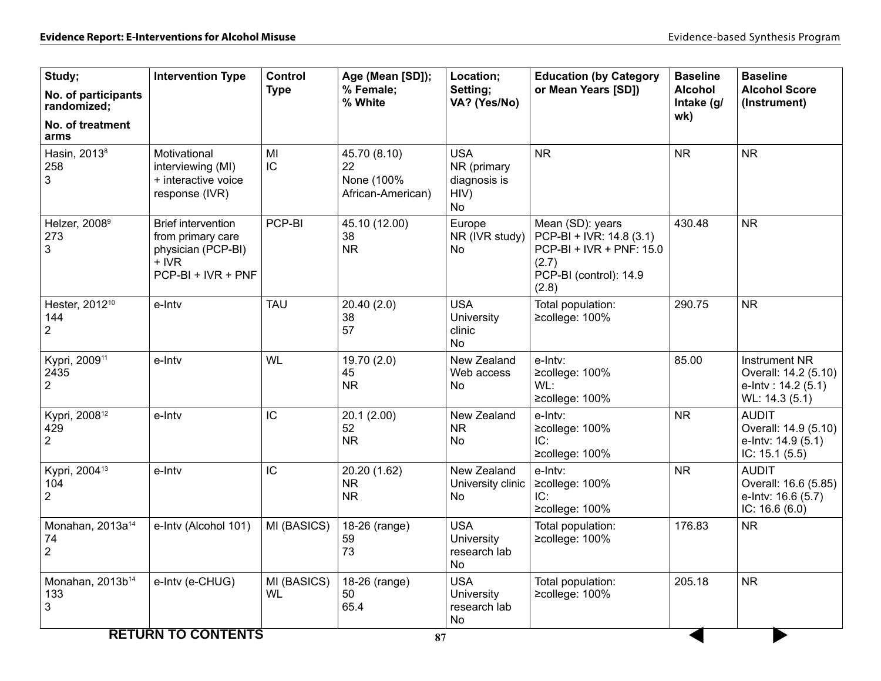| Study;<br>No. of participants<br>randomized;<br>No. of treatment | <b>Intervention Type</b>                                                                            | Control<br><b>Type</b>   | Age (Mean [SD]);<br>% Female;<br>% White              | Location;<br>Setting;<br>VA? (Yes/No)                          | <b>Education (by Category</b><br>or Mean Years [SD])                                                                 | <b>Baseline</b><br><b>Alcohol</b><br>Intake (g/<br>wk) | <b>Baseline</b><br><b>Alcohol Score</b><br>(Instrument)                               |
|------------------------------------------------------------------|-----------------------------------------------------------------------------------------------------|--------------------------|-------------------------------------------------------|----------------------------------------------------------------|----------------------------------------------------------------------------------------------------------------------|--------------------------------------------------------|---------------------------------------------------------------------------------------|
| arms<br>Hasin, 2013 <sup>8</sup><br>258<br>3                     | Motivational<br>interviewing (MI)<br>+ interactive voice<br>response (IVR)                          | MI<br>IC                 | 45.70 (8.10)<br>22<br>None (100%<br>African-American) | <b>USA</b><br>NR (primary<br>diagnosis is<br>HIV)<br><b>No</b> | <b>NR</b>                                                                                                            | <b>NR</b>                                              | <b>NR</b>                                                                             |
| Helzer, 2008 <sup>9</sup><br>273<br>3                            | <b>Brief intervention</b><br>from primary care<br>physician (PCP-BI)<br>+ IVR<br>PCP-BI + IVR + PNF | PCP-BI                   | 45.10 (12.00)<br>38<br><b>NR</b>                      | Europe<br>NR (IVR study)<br>No                                 | Mean (SD): years<br>PCP-BI + IVR: 14.8 (3.1)<br>PCP-BI + IVR + PNF: 15.0<br>(2.7)<br>PCP-BI (control): 14.9<br>(2.8) | 430.48                                                 | <b>NR</b>                                                                             |
| Hester, 2012 <sup>10</sup><br>144<br>$\overline{c}$              | e-Intv                                                                                              | <b>TAU</b>               | 20.40 (2.0)<br>38<br>57                               | <b>USA</b><br>University<br>clinic<br>No                       | Total population:<br>≥college: 100%                                                                                  | 290.75                                                 | <b>NR</b>                                                                             |
| Kypri, 2009 <sup>11</sup><br>2435<br>$\overline{c}$              | e-Intv                                                                                              | <b>WL</b>                | 19.70 (2.0)<br>45<br><b>NR</b>                        | New Zealand<br>Web access<br><b>No</b>                         | e-Intv:<br>≥college: 100%<br>WL:<br>≥college: 100%                                                                   | 85.00                                                  | <b>Instrument NR</b><br>Overall: 14.2 (5.10)<br>e-Intv: $14.2(5.1)$<br>WL: 14.3 (5.1) |
| Kypri, 2008 <sup>12</sup><br>429<br>$\overline{2}$               | e-Intv                                                                                              | IC                       | 20.1(2.00)<br>52<br><b>NR</b>                         | New Zealand<br><b>NR</b><br><b>No</b>                          | e-Intv:<br>≥college: 100%<br>IC:<br>≥college: 100%                                                                   | <b>NR</b>                                              | <b>AUDIT</b><br>Overall: 14.9 (5.10)<br>e-Intv: 14.9 (5.1)<br>IC: $15.1(5.5)$         |
| Kypri, 2004 <sup>13</sup><br>104<br>$\overline{c}$               | e-Intv                                                                                              | IC                       | 20.20 (1.62)<br><b>NR</b><br><b>NR</b>                | New Zealand<br>University clinic<br>No                         | e-Intv:<br>≥college: 100%<br>IC:<br>≥college: 100%                                                                   | <b>NR</b>                                              | <b>AUDIT</b><br>Overall: 16.6 (5.85)<br>e-Intv: 16.6 (5.7)<br>IC: $16.6(6.0)$         |
| Monahan, 2013a <sup>14</sup><br>74<br>$\overline{2}$             | e-Intv (Alcohol 101)                                                                                | MI (BASICS)              | 18-26 (range)<br>59<br>73                             | <b>USA</b><br><b>University</b><br>research lab<br>No          | Total population:<br>≥college: 100%                                                                                  | 176.83                                                 | <b>NR</b>                                                                             |
| Monahan, 2013b <sup>14</sup><br>133<br>3                         | e-Intv (e-CHUG)                                                                                     | MI (BASICS)<br><b>WL</b> | 18-26 (range)<br>50<br>65.4                           | <b>USA</b><br>University<br>research lab<br><b>No</b>          | Total population:<br>≥college: 100%                                                                                  | 205.18                                                 | <b>NR</b>                                                                             |
|                                                                  | <b>RETURN TO CONTENTS</b>                                                                           |                          | 87                                                    |                                                                |                                                                                                                      |                                                        |                                                                                       |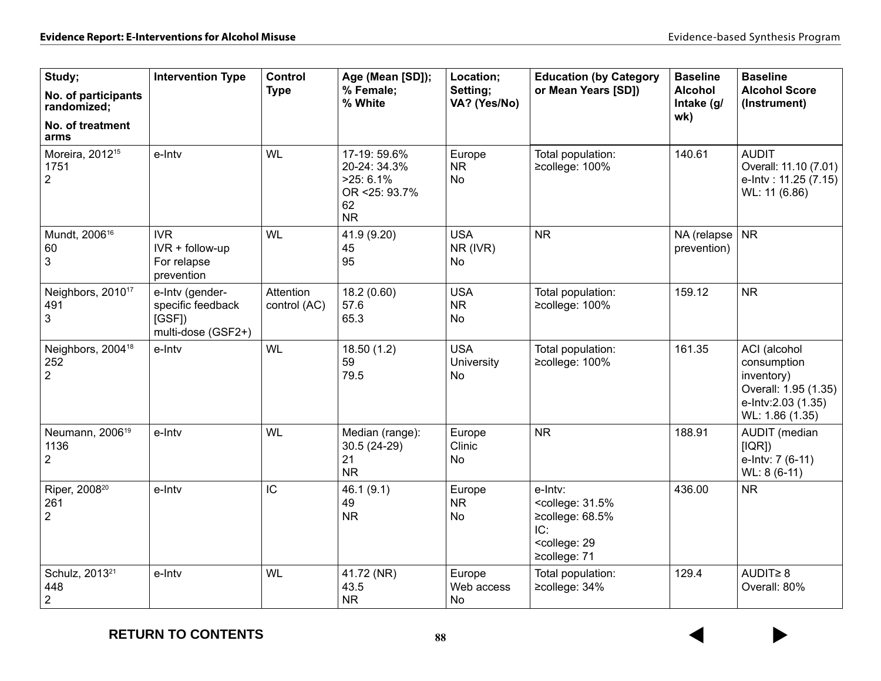| Study;<br>No. of participants<br>randomized;<br>No. of treatment<br>arms | <b>Intervention Type</b>                                            | Control<br><b>Type</b>    | Age (Mean [SD]);<br>% Female:<br>% White                                        | Location;<br>Setting;<br>VA? (Yes/No) | <b>Education (by Category</b><br>or Mean Years [SD])                                                                               | <b>Baseline</b><br><b>Alcohol</b><br>Intake (g/<br>wk) | <b>Baseline</b><br><b>Alcohol Score</b><br>(Instrument)                                                    |
|--------------------------------------------------------------------------|---------------------------------------------------------------------|---------------------------|---------------------------------------------------------------------------------|---------------------------------------|------------------------------------------------------------------------------------------------------------------------------------|--------------------------------------------------------|------------------------------------------------------------------------------------------------------------|
| Moreira, 2012 <sup>15</sup><br>1751<br>$\overline{2}$                    | e-Intv                                                              | <b>WL</b>                 | 17-19: 59.6%<br>20-24: 34.3%<br>$>25:6.1\%$<br>OR <25: 93.7%<br>62<br><b>NR</b> | Europe<br><b>NR</b><br><b>No</b>      | Total population:<br>≥college: 100%                                                                                                | 140.61                                                 | <b>AUDIT</b><br>Overall: 11.10 (7.01)<br>e-Intv: 11.25 (7.15)<br>WL: 11 (6.86)                             |
| Mundt, 2006 <sup>16</sup><br>60<br>3                                     | <b>IVR</b><br>IVR + follow-up<br>For relapse<br>prevention          | <b>WL</b>                 | 41.9 (9.20)<br>45<br>95                                                         | <b>USA</b><br>NR (IVR)<br>No          | <b>NR</b>                                                                                                                          | NA (relapse<br>prevention)                             | <b>NR</b>                                                                                                  |
| Neighbors, 2010 <sup>17</sup><br>491<br>3                                | e-Intv (gender-<br>specific feedback<br>[GSF]<br>multi-dose (GSF2+) | Attention<br>control (AC) | 18.2 (0.60)<br>57.6<br>65.3                                                     | <b>USA</b><br><b>NR</b><br><b>No</b>  | Total population:<br>≥college: 100%                                                                                                | 159.12                                                 | <b>NR</b>                                                                                                  |
| Neighbors, 2004 <sup>18</sup><br>252<br>$\overline{2}$                   | e-Intv                                                              | <b>WL</b>                 | 18.50 (1.2)<br>59<br>79.5                                                       | <b>USA</b><br>University<br><b>No</b> | Total population:<br>≥college: 100%                                                                                                | 161.35                                                 | ACI (alcohol<br>consumption<br>inventory)<br>Overall: 1.95 (1.35)<br>e-Intv:2.03 (1.35)<br>WL: 1.86 (1.35) |
| Neumann, 2006 <sup>19</sup><br>1136<br>$\overline{2}$                    | e-Intv                                                              | <b>WL</b>                 | Median (range):<br>30.5 (24-29)<br>21<br><b>NR</b>                              | Europe<br>Clinic<br><b>No</b>         | <b>NR</b>                                                                                                                          | 188.91                                                 | AUDIT (median<br>[IQR]<br>e-Intv: 7 (6-11)<br>WL: 8 (6-11)                                                 |
| Riper, 2008 <sup>20</sup><br>261<br>$\overline{2}$                       | e-Intv                                                              | IC                        | 46.1(9.1)<br>49<br><b>NR</b>                                                    | Europe<br><b>NR</b><br><b>No</b>      | e-Intv:<br><college: 31.5%<br=""><math>\geq</math>college: 68.5%<br/>IC:<br/><college: 29<br="">≥college: 71</college:></college:> | 436.00                                                 | <b>NR</b>                                                                                                  |
| Schulz, 2013 <sup>21</sup><br>448<br>$\overline{2}$                      | e-Intv                                                              | <b>WL</b>                 | 41.72 (NR)<br>43.5<br><b>NR</b>                                                 | Europe<br>Web access<br><b>No</b>     | Total population:<br>≥college: 34%                                                                                                 | 129.4                                                  | AUDIT≥ 8<br>Overall: 80%                                                                                   |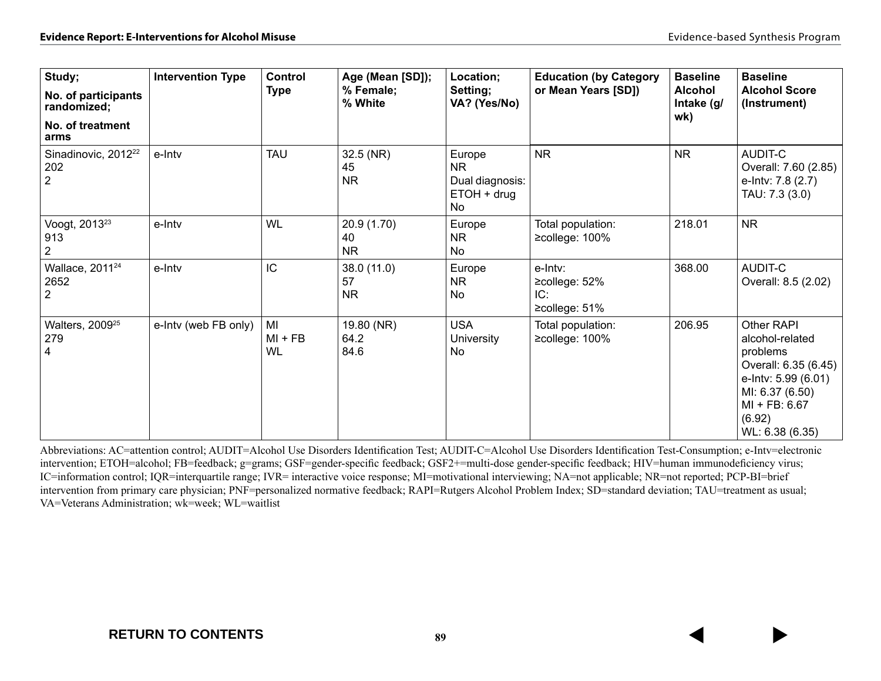| Study;<br>No. of participants<br>randomized;<br>No. of treatment<br>arms | <b>Intervention Type</b> | <b>Control</b><br><b>Type</b> | Age (Mean [SD]);<br>% Female;<br>% White | Location;<br>Setting;<br>VA? (Yes/No)                                | <b>Education (by Category</b><br>or Mean Years [SD])   | <b>Baseline</b><br>Alcohol<br>Intake (g/<br>wk) | <b>Baseline</b><br><b>Alcohol Score</b><br>(Instrument)                                                                                                   |
|--------------------------------------------------------------------------|--------------------------|-------------------------------|------------------------------------------|----------------------------------------------------------------------|--------------------------------------------------------|-------------------------------------------------|-----------------------------------------------------------------------------------------------------------------------------------------------------------|
| Sinadinovic, 2012 <sup>22</sup><br>202<br>$\overline{2}$                 | e-Intv                   | <b>TAU</b>                    | 32.5 (NR)<br>45<br><b>NR</b>             | Europe<br><b>NR</b><br>Dual diagnosis:<br>$ETOH + drug$<br><b>No</b> | <b>NR</b>                                              | <b>NR</b>                                       | AUDIT-C<br>Overall: 7.60 (2.85)<br>e-Intv: 7.8 (2.7)<br>TAU: 7.3 (3.0)                                                                                    |
| Voogt, 2013 <sup>23</sup><br>913<br>2                                    | e-Intv                   | WL                            | 20.9 (1.70)<br>40<br><b>NR</b>           | Europe<br><b>NR</b><br>No                                            | Total population:<br>≥college: 100%                    | 218.01                                          | <b>NR</b>                                                                                                                                                 |
| Wallace, 2011 <sup>24</sup><br>2652<br>$\overline{2}$                    | e-Intv                   | IC                            | 38.0(11.0)<br>57<br><b>NR</b>            | Europe<br><b>NR</b><br>No                                            | e-Intv:<br>≥college: 52%<br>IC:<br>$\geq$ college: 51% | 368.00                                          | AUDIT-C<br>Overall: 8.5 (2.02)                                                                                                                            |
| Walters, 2009 <sup>25</sup><br>279<br>4                                  | e-Intv (web FB only)     | MI<br>$MI + FB$<br><b>WL</b>  | 19.80 (NR)<br>64.2<br>84.6               | <b>USA</b><br><b>University</b><br>No                                | Total population:<br>≥college: 100%                    | 206.95                                          | Other RAPI<br>alcohol-related<br>problems<br>Overall: 6.35 (6.45)<br>e-Intv: 5.99 (6.01)<br>MI: 6.37 (6.50)<br>MI + FB: 6.67<br>(6.92)<br>WL: 6.38 (6.35) |

Abbreviations: AC=attention control; AUDIT=Alcohol Use Disorders Identification Test; AUDIT-C=Alcohol Use Disorders Identification Test-Consumption; e-Intv=electronic intervention; ETOH=alcohol; FB=feedback; g=grams; GSF=gender-specific feedback; GSF2+=multi-dose gender-specific feedback; HIV=human immunodeficiency virus; IC=information control; IQR=interquartile range; IVR= interactive voice response; MI=motivational interviewing; NA=not applicable; NR=not reported; PCP-BI=brief intervention from primary care physician; PNF=personalized normative feedback; RAPI=Rutgers Alcohol Problem Index; SD=standard deviation; TAU=treatment as usual; VA=Veterans Administration; wk=week; WL=waitlist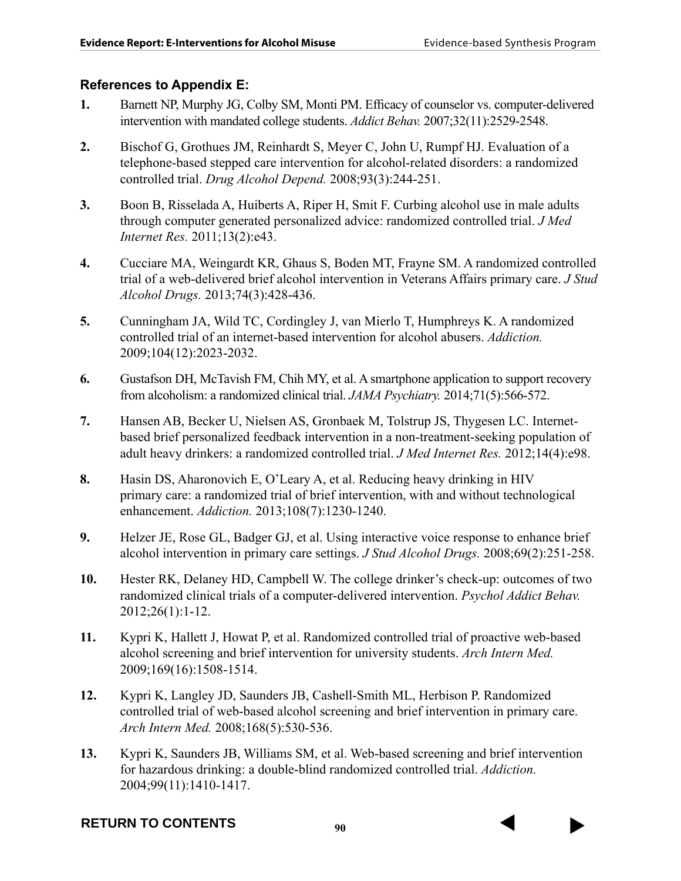# **References to Appendix E:**

- **1.** Barnett NP, Murphy JG, Colby SM, Monti PM. Efficacy of counselor vs. computer-delivered intervention with mandated college students. *Addict Behav.* 2007;32(11):2529-2548.
- **2.** Bischof G, Grothues JM, Reinhardt S, Meyer C, John U, Rumpf HJ. Evaluation of a telephone-based stepped care intervention for alcohol-related disorders: a randomized controlled trial. *Drug Alcohol Depend.* 2008;93(3):244-251.
- **3.** Boon B, Risselada A, Huiberts A, Riper H, Smit F. Curbing alcohol use in male adults through computer generated personalized advice: randomized controlled trial. *J Med Internet Res.* 2011;13(2):e43.
- **4.** Cucciare MA, Weingardt KR, Ghaus S, Boden MT, Frayne SM. A randomized controlled trial of a web-delivered brief alcohol intervention in Veterans Affairs primary care. *J Stud Alcohol Drugs.* 2013;74(3):428-436.
- **5.** Cunningham JA, Wild TC, Cordingley J, van Mierlo T, Humphreys K. A randomized controlled trial of an internet-based intervention for alcohol abusers. *Addiction.*  2009;104(12):2023-2032.
- **6.** Gustafson DH, McTavish FM, Chih MY, et al. A smartphone application to support recovery from alcoholism: a randomized clinical trial. *JAMA Psychiatry.* 2014;71(5):566-572.
- **7.** Hansen AB, Becker U, Nielsen AS, Gronbaek M, Tolstrup JS, Thygesen LC. Internetbased brief personalized feedback intervention in a non-treatment-seeking population of adult heavy drinkers: a randomized controlled trial. *J Med Internet Res.* 2012;14(4):e98.
- **8.** Hasin DS, Aharonovich E, O'Leary A, et al. Reducing heavy drinking in HIV primary care: a randomized trial of brief intervention, with and without technological enhancement. *Addiction.* 2013;108(7):1230-1240.
- **9.** Helzer JE, Rose GL, Badger GJ, et al. Using interactive voice response to enhance brief alcohol intervention in primary care settings. *J Stud Alcohol Drugs.* 2008;69(2):251-258.
- **10.** Hester RK, Delaney HD, Campbell W. The college drinker's check-up: outcomes of two randomized clinical trials of a computer-delivered intervention. *Psychol Addict Behav.*  2012;26(1):1-12.
- **11.** Kypri K, Hallett J, Howat P, et al. Randomized controlled trial of proactive web-based alcohol screening and brief intervention for university students. *Arch Intern Med.*  2009;169(16):1508-1514.
- **12.** Kypri K, Langley JD, Saunders JB, Cashell-Smith ML, Herbison P. Randomized controlled trial of web-based alcohol screening and brief intervention in primary care. *Arch Intern Med.* 2008;168(5):530-536.
- **13.** Kypri K, Saunders JB, Williams SM, et al. Web-based screening and brief intervention for hazardous drinking: a double-blind randomized controlled trial. *Addiction.*  2004;99(11):1410-1417.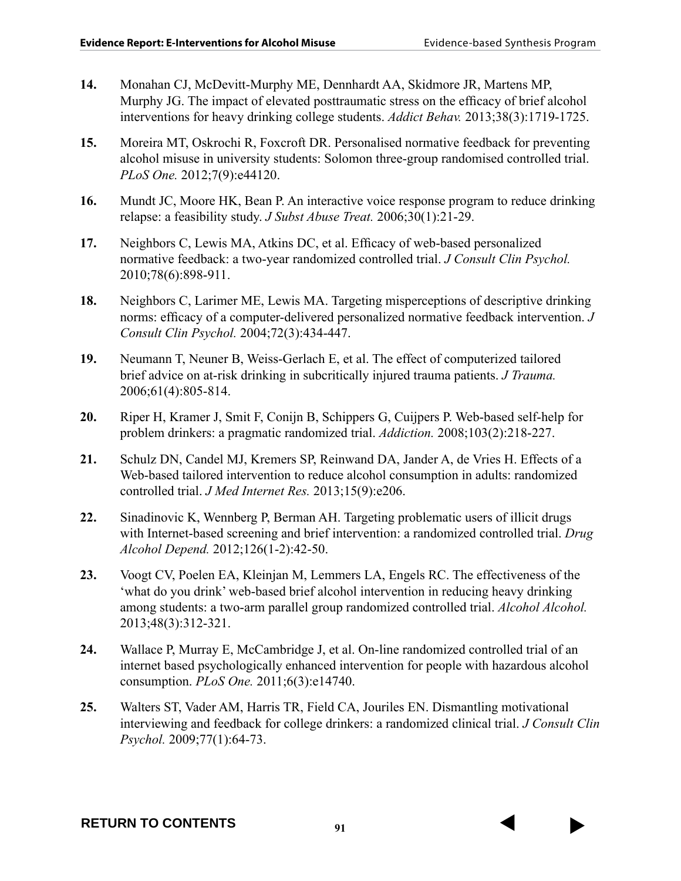- **14.** Monahan CJ, McDevitt-Murphy ME, Dennhardt AA, Skidmore JR, Martens MP, Murphy JG. The impact of elevated posttraumatic stress on the efficacy of brief alcohol interventions for heavy drinking college students. *Addict Behav.* 2013;38(3):1719-1725.
- **15.** Moreira MT, Oskrochi R, Foxcroft DR. Personalised normative feedback for preventing alcohol misuse in university students: Solomon three-group randomised controlled trial. *PLoS One.* 2012;7(9):e44120.
- **16.** Mundt JC, Moore HK, Bean P. An interactive voice response program to reduce drinking relapse: a feasibility study. *J Subst Abuse Treat.* 2006;30(1):21-29.
- **17.** Neighbors C, Lewis MA, Atkins DC, et al. Efficacy of web-based personalized normative feedback: a two-year randomized controlled trial. *J Consult Clin Psychol.*  2010;78(6):898-911.
- **18.** Neighbors C, Larimer ME, Lewis MA. Targeting misperceptions of descriptive drinking norms: efficacy of a computer-delivered personalized normative feedback intervention. *J Consult Clin Psychol.* 2004;72(3):434-447.
- **19.** Neumann T, Neuner B, Weiss-Gerlach E, et al. The effect of computerized tailored brief advice on at-risk drinking in subcritically injured trauma patients. *J Trauma.*  2006;61(4):805-814.
- **20.** Riper H, Kramer J, Smit F, Conijn B, Schippers G, Cuijpers P. Web-based self-help for problem drinkers: a pragmatic randomized trial. *Addiction.* 2008;103(2):218-227.
- **21.** Schulz DN, Candel MJ, Kremers SP, Reinwand DA, Jander A, de Vries H. Effects of a Web-based tailored intervention to reduce alcohol consumption in adults: randomized controlled trial. *J Med Internet Res.* 2013;15(9):e206.
- **22.** Sinadinovic K, Wennberg P, Berman AH. Targeting problematic users of illicit drugs with Internet-based screening and brief intervention: a randomized controlled trial. *Drug Alcohol Depend.* 2012;126(1-2):42-50.
- **23.** Voogt CV, Poelen EA, Kleinjan M, Lemmers LA, Engels RC. The effectiveness of the 'what do you drink' web-based brief alcohol intervention in reducing heavy drinking among students: a two-arm parallel group randomized controlled trial. *Alcohol Alcohol.*  2013;48(3):312-321.
- **24.** Wallace P, Murray E, McCambridge J, et al. On-line randomized controlled trial of an internet based psychologically enhanced intervention for people with hazardous alcohol consumption. *PLoS One.* 2011;6(3):e14740.
- **25.** Walters ST, Vader AM, Harris TR, Field CA, Jouriles EN. Dismantling motivational interviewing and feedback for college drinkers: a randomized clinical trial. *J Consult Clin Psychol.* 2009;77(1):64-73.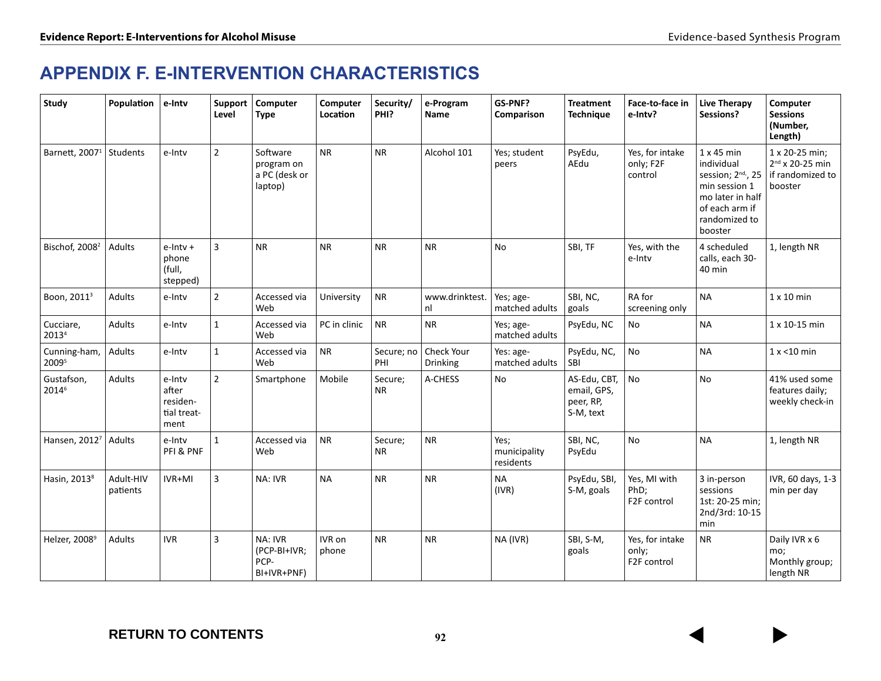# **APPENDIX F. E-INTERVENTION CHARACTERISTICS**

| Study                      | Population            | e-Intv                                             | Support<br>Level | Computer<br><b>Type</b>                            | Computer<br>Location | Security/<br>PHI?    | e-Program<br>Name      | GS-PNF?<br>Comparison             | <b>Treatment</b><br><b>Technique</b>                  | Face-to-face in<br>e-Intv?              | <b>Live Therapy</b><br>Sessions?                                                                                                                     | Computer<br><b>Sessions</b><br>(Number,<br>Length)                    |
|----------------------------|-----------------------|----------------------------------------------------|------------------|----------------------------------------------------|----------------------|----------------------|------------------------|-----------------------------------|-------------------------------------------------------|-----------------------------------------|------------------------------------------------------------------------------------------------------------------------------------------------------|-----------------------------------------------------------------------|
| Barnett, 2007 <sup>1</sup> | Students              | e-Intv                                             | $\overline{2}$   | Software<br>program on<br>a PC (desk or<br>laptop) | <b>NR</b>            | <b>NR</b>            | Alcohol 101            | Yes; student<br>peers             | PsyEdu,<br>AEdu                                       | Yes, for intake<br>only; F2F<br>control | $1 \times 45$ min<br>individual<br>session; 2 <sup>nd,</sup> , 25<br>min session 1<br>mo later in half<br>of each arm if<br>randomized to<br>booster | 1 x 20-25 min;<br>$2^{nd}$ x 20-25 min<br>if randomized to<br>booster |
| Bischof, 2008 <sup>2</sup> | <b>Adults</b>         | $e$ -Intv $+$<br>phone<br>(full,<br>stepped)       | 3                | <b>NR</b>                                          | <b>NR</b>            | <b>NR</b>            | <b>NR</b>              | <b>No</b>                         | SBI, TF                                               | Yes, with the<br>e-Intv                 | 4 scheduled<br>calls, each 30-<br>40 min                                                                                                             | 1, length NR                                                          |
| Boon, 2011 <sup>3</sup>    | <b>Adults</b>         | e-Intv                                             | $\overline{2}$   | Accessed via<br>Web                                | University           | <b>NR</b>            | www.drinktest.<br>nl   | Yes; age-<br>matched adults       | SBI, NC,<br>goals                                     | RA for<br>screening only                | <b>NA</b>                                                                                                                                            | $1 \times 10$ min                                                     |
| Cucciare,<br>20134         | <b>Adults</b>         | e-Intv                                             | $\mathbf{1}$     | Accessed via<br>Web                                | PC in clinic         | <b>NR</b>            | <b>NR</b>              | Yes; age-<br>matched adults       | PsyEdu, NC                                            | No                                      | <b>NA</b>                                                                                                                                            | 1 x 10-15 min                                                         |
| Cunning-ham,<br>20095      | Adults                | e-Intv                                             | 1                | Accessed via<br>Web                                | <b>NR</b>            | Secure; no<br>PHI    | Check Your<br>Drinking | Yes: age-<br>matched adults       | PsyEdu, NC,<br><b>SBI</b>                             | No                                      | <b>NA</b>                                                                                                                                            | $1x < 10$ min                                                         |
| Gustafson,<br>20146        | Adults                | e-Intv<br>after<br>residen-<br>tial treat-<br>ment | $\overline{2}$   | Smartphone                                         | Mobile               | Secure;<br><b>NR</b> | A-CHESS                | No                                | AS-Edu, CBT,<br>email, GPS,<br>peer, RP,<br>S-M, text | No                                      | No                                                                                                                                                   | 41% used some<br>features daily;<br>weekly check-in                   |
| Hansen, 2012 <sup>7</sup>  | Adults                | e-Intv<br>PFI & PNF                                | 1                | Accessed via<br>Web                                | <b>NR</b>            | Secure;<br><b>NR</b> | <b>NR</b>              | Yes;<br>municipality<br>residents | SBI, NC,<br>PsyEdu                                    | No                                      | <b>NA</b>                                                                                                                                            | 1, length NR                                                          |
| Hasin, 2013 <sup>8</sup>   | Adult-HIV<br>patients | IVR+MI                                             | 3                | NA: IVR                                            | <b>NA</b>            | <b>NR</b>            | <b>NR</b>              | <b>NA</b><br>(IVR)                | PsyEdu, SBI,<br>S-M, goals                            | Yes, MI with<br>PhD;<br>F2F control     | 3 in-person<br>sessions<br>1st: 20-25 min;<br>2nd/3rd: 10-15<br>min                                                                                  | IVR, 60 days, 1-3<br>min per day                                      |
| Helzer, 2008 <sup>9</sup>  | <b>Adults</b>         | <b>IVR</b>                                         | 3                | NA: IVR<br>(PCP-BI+IVR;<br>PCP-<br>BI+IVR+PNF)     | IVR on<br>phone      | <b>NR</b>            | <b>NR</b>              | NA (IVR)                          | SBI, S-M,<br>goals                                    | Yes, for intake<br>only;<br>F2F control | <b>NR</b>                                                                                                                                            | Daily IVR x 6<br>mo;<br>Monthly group;<br>length NR                   |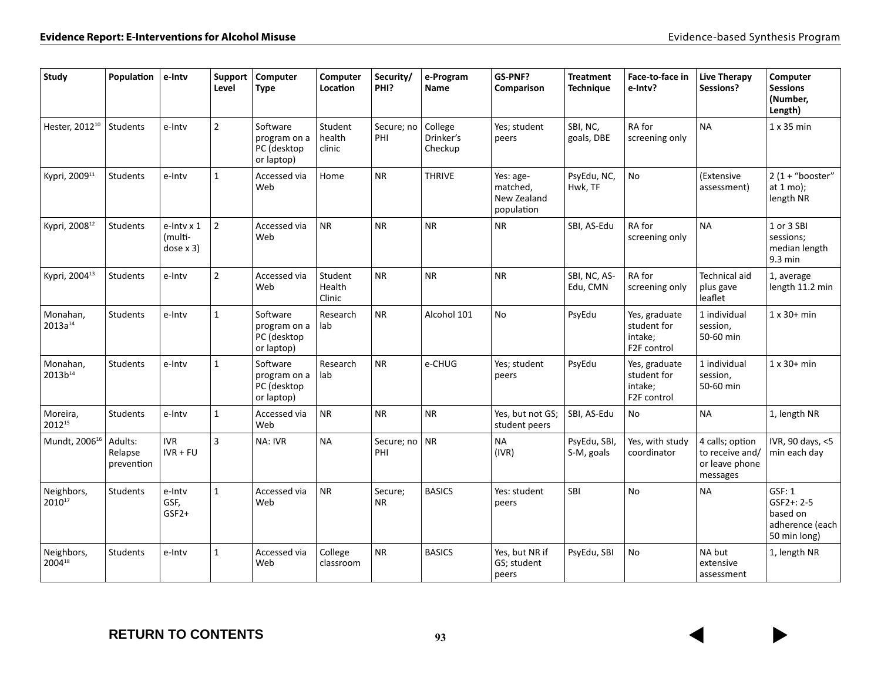| <b>Study</b>                    | Population                       | e-Intv                              | Support<br>Level | Computer<br><b>Type</b>                               | Computer<br>Location        | Security/<br>PHI?    | e-Program<br>Name               | GS-PNF?<br>Comparison                              | <b>Treatment</b><br><b>Technique</b> | Face-to-face in<br>e-Intv?                                          | <b>Live Therapy</b><br>Sessions?                                 | Computer<br><b>Sessions</b><br>(Number,<br>Length)                      |
|---------------------------------|----------------------------------|-------------------------------------|------------------|-------------------------------------------------------|-----------------------------|----------------------|---------------------------------|----------------------------------------------------|--------------------------------------|---------------------------------------------------------------------|------------------------------------------------------------------|-------------------------------------------------------------------------|
| Hester, 2012 <sup>10</sup>      | <b>Students</b>                  | e-Intv                              | $\overline{2}$   | Software<br>program on a<br>PC (desktop<br>or laptop) | Student<br>health<br>clinic | Secure; no<br>PHI    | College<br>Drinker's<br>Checkup | Yes; student<br>peers                              | SBI, NC,<br>goals, DBE               | RA for<br>screening only                                            | <b>NA</b>                                                        | $1x35$ min                                                              |
| Kypri, 2009 <sup>11</sup>       | <b>Students</b>                  | e-Intv                              | $\mathbf{1}$     | Accessed via<br>Web                                   | Home                        | <b>NR</b>            | <b>THRIVE</b>                   | Yes: age-<br>matched,<br>New Zealand<br>population | PsyEdu, NC,<br>Hwk, TF               | No                                                                  | (Extensive<br>assessment)                                        | $2(1 + "booster"$<br>at $1 \text{ mo}$ );<br>length NR                  |
| Kypri, 2008 <sup>12</sup>       | Students                         | e-Intv x 1<br>(multi-<br>dose $x 3$ | $\overline{2}$   | Accessed via<br>Web                                   | <b>NR</b>                   | <b>NR</b>            | <b>NR</b>                       | <b>NR</b>                                          | SBI, AS-Edu                          | RA for<br>screening only                                            | <b>NA</b>                                                        | 1 or 3 SBI<br>sessions;<br>median length<br>$9.3 \text{ min}$           |
| Kypri, 2004 <sup>13</sup>       | Students                         | e-Intv                              | $\overline{2}$   | Accessed via<br>Web                                   | Student<br>Health<br>Clinic | <b>NR</b>            | <b>NR</b>                       | <b>NR</b>                                          | SBI, NC, AS-<br>Edu, CMN             | RA for<br>screening only                                            | <b>Technical aid</b><br>plus gave<br>leaflet                     | 1, average<br>length 11.2 min                                           |
| Monahan,<br>$2013a^{14}$        | Students                         | e-Intv                              | $\mathbf{1}$     | Software<br>program on a<br>PC (desktop<br>or laptop) | Research<br>lab             | <b>NR</b>            | Alcohol 101                     | No                                                 | PsyEdu                               | Yes, graduate<br>student for<br>intake;<br>F <sub>2</sub> F control | 1 individual<br>session,<br>50-60 min                            | $1 \times 30+$ min                                                      |
| Monahan,<br>2013b <sup>14</sup> | Students                         | e-Intv                              | $\mathbf{1}$     | Software<br>program on a<br>PC (desktop<br>or laptop) | Research<br>lab             | <b>NR</b>            | e-CHUG                          | Yes; student<br>peers                              | PsyEdu                               | Yes, graduate<br>student for<br>intake;<br>F2F control              | 1 individual<br>session,<br>50-60 min                            | $1 \times 30+$ min                                                      |
| Moreira,<br>201215              | <b>Students</b>                  | e-Intv                              | $\mathbf{1}$     | Accessed via<br>Web                                   | <b>NR</b>                   | <b>NR</b>            | <b>NR</b>                       | Yes, but not GS;<br>student peers                  | SBI, AS-Edu                          | No                                                                  | <b>NA</b>                                                        | 1, length NR                                                            |
| Mundt, 2006 <sup>16</sup>       | Adults:<br>Relapse<br>prevention | <b>IVR</b><br>$IVR + FU$            | 3                | NA: IVR                                               | <b>NA</b>                   | Secure; no<br>PHI    | NR                              | <b>NA</b><br>(IVR)                                 | PsyEdu, SBI,<br>S-M, goals           | Yes, with study<br>coordinator                                      | 4 calls; option<br>to receive and/<br>or leave phone<br>messages | IVR, 90 days, <5<br>min each day                                        |
| Neighbors,<br>201017            | Students                         | e-Intv<br>GSF,<br>$GSF2+$           | $\mathbf{1}$     | Accessed via<br>Web                                   | <b>NR</b>                   | Secure;<br><b>NR</b> | <b>BASICS</b>                   | Yes: student<br>peers                              | <b>SBI</b>                           | <b>No</b>                                                           | <b>NA</b>                                                        | GSF: 1<br>$GSF2 + 2 - 5$<br>based on<br>adherence (each<br>50 min long) |
| Neighbors,<br>200418            | Students                         | e-Intv                              | $\mathbf{1}$     | Accessed via<br>Web                                   | College<br>classroom        | <b>NR</b>            | <b>BASICS</b>                   | Yes, but NR if<br>GS; student<br>peers             | PsyEdu, SBI                          | No                                                                  | NA but<br>extensive<br>assessment                                | 1, length NR                                                            |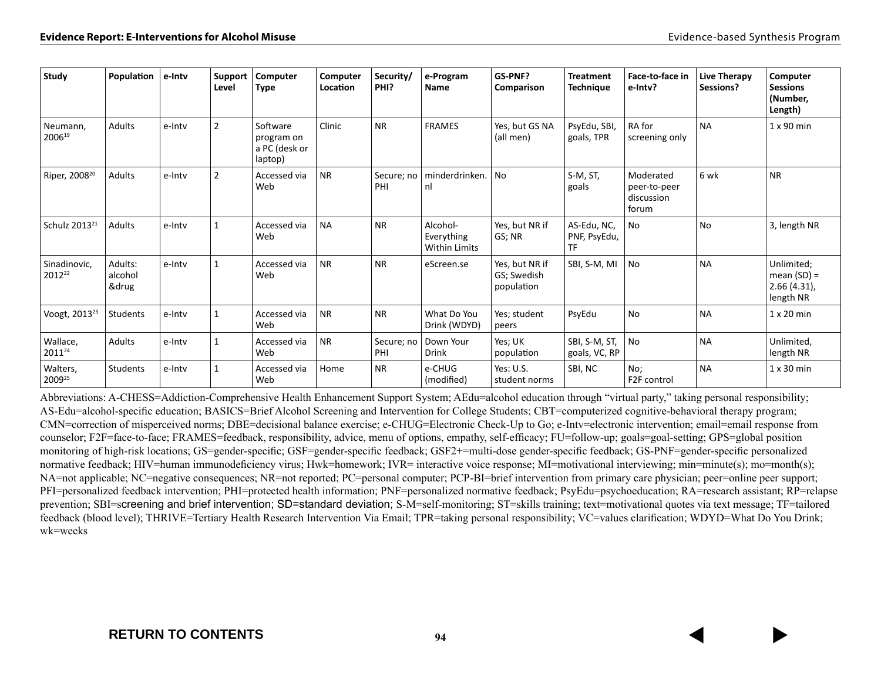| Study                     | Population                  | e-Intv | Support<br>Level | Computer<br>Type                                   | Computer<br>Location | Security/<br>PHI? | e-Program<br>Name                              | GS-PNF?<br>Comparison                       | <b>Treatment</b><br><b>Technique</b> | Face-to-face in<br>e-Intv?                       | Live Therapy<br>Sessions? | Computer<br><b>Sessions</b><br>(Number,<br>Length)         |
|---------------------------|-----------------------------|--------|------------------|----------------------------------------------------|----------------------|-------------------|------------------------------------------------|---------------------------------------------|--------------------------------------|--------------------------------------------------|---------------------------|------------------------------------------------------------|
| Neumann,<br>200619        | <b>Adults</b>               | e-Intv | $\overline{2}$   | Software<br>program on<br>a PC (desk or<br>laptop) | Clinic               | <b>NR</b>         | <b>FRAMES</b>                                  | Yes, but GS NA<br>(all men)                 | PsyEdu, SBI,<br>goals, TPR           | RA for<br>screening only                         | <b>NA</b>                 | $1 \times 90$ min                                          |
| Riper, 2008 <sup>20</sup> | Adults                      | e-Inty | $\overline{2}$   | Accessed via<br>Web                                | <b>NR</b>            | Secure; no<br>PHI | minderdrinken.<br>nl                           | <b>No</b>                                   | S-M, ST,<br>goals                    | Moderated<br>peer-to-peer<br>discussion<br>forum | 6 wk                      | <b>NR</b>                                                  |
| Schulz 2013 <sup>21</sup> | <b>Adults</b>               | e-Intv |                  | Accessed via<br>Web                                | <b>NA</b>            | <b>NR</b>         | Alcohol-<br>Everything<br><b>Within Limits</b> | Yes, but NR if<br>GS; NR                    | AS-Edu, NC,<br>PNF, PsyEdu,<br>TF    | <b>No</b>                                        | <b>No</b>                 | 3, length NR                                               |
| Sinadinovic,<br>201222    | Adults:<br>alcohol<br>&drug | e-Inty | -1               | Accessed via<br>Web                                | <b>NR</b>            | <b>NR</b>         | eScreen.se                                     | Yes, but NR if<br>GS; Swedish<br>population | SBI, S-M, MI                         | <b>No</b>                                        | <b>NA</b>                 | Unlimited;<br>mean $(SD) =$<br>$2.66(4.31)$ ,<br>length NR |
| Voogt, 2013 <sup>23</sup> | Students                    | e-Intv | 1                | Accessed via<br>Web                                | <b>NR</b>            | <b>NR</b>         | What Do You<br>Drink (WDYD)                    | Yes; student<br>peers                       | PsyEdu                               | No                                               | <b>NA</b>                 | $1 \times 20$ min                                          |
| Wallace,<br>201124        | Adults                      | e-Intv |                  | Accessed via<br>Web                                | <b>NR</b>            | Secure; no<br>PHI | Down Your<br><b>Drink</b>                      | Yes; UK<br>population                       | SBI, S-M, ST,<br>goals, VC, RP       | No                                               | <b>NA</b>                 | Unlimited,<br>length NR                                    |
| Walters,<br>200925        | Students                    | e-Intv |                  | Accessed via<br>Web                                | Home                 | <b>NR</b>         | e-CHUG<br>(modified)                           | Yes: U.S.<br>student norms                  | SBI, NC                              | No;<br>F2F control                               | <b>NA</b>                 | $1 \times 30$ min                                          |

Abbreviations: A-CHESS=Addiction-Comprehensive Health Enhancement Support System; AEdu=alcohol education through "virtual party," taking personal responsibility; AS-Edu=alcohol-specific education; BASICS=Brief Alcohol Screening and Intervention for College Students; CBT=computerized cognitive-behavioral therapy program; CMN=correction of misperceived norms; DBE=decisional balance exercise; e-CHUG=Electronic Check-Up to Go; e-Intv=electronic intervention; email=email response from counselor; F2F=face-to-face; FRAMES=feedback, responsibility, advice, menu of options, empathy, self-efficacy; FU=follow-up; goals=goal-setting; GPS=global position monitoring of high-risk locations; GS=gender-specific; GSF=gender-specific feedback; GSF2+=multi-dose gender-specific feedback; GS-PNF=gender-specific personalized normative feedback; HIV=human immunodeficiency virus; Hwk=homework; IVR= interactive voice response; MI=motivational interviewing; min=minute(s); mo=month(s); NA=not applicable; NC=negative consequences; NR=not reported; PC=personal computer; PCP-BI=brief intervention from primary care physician; peer=online peer support; PFI=personalized feedback intervention; PHI=protected health information; PNF=personalized normative feedback; PsyEdu=psychoeducation; RA=research assistant; RP=relapse prevention; SBI=screening and brief intervention; SD=standard deviation; S-M=self-monitoring; ST=skills training; text=motivational quotes via text message; TF=tailored feedback (blood level); THRIVE=Tertiary Health Research Intervention Via Email; TPR=taking personal responsibility; VC=values clarification; WDYD=What Do You Drink; wk=weeks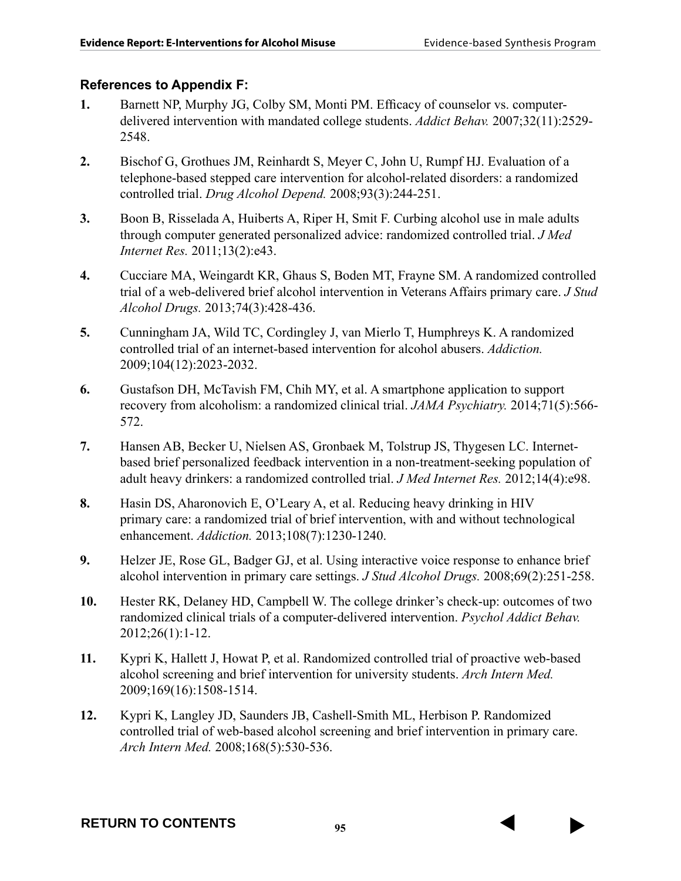# **References to Appendix F:**

- **1.** Barnett NP, Murphy JG, Colby SM, Monti PM. Efficacy of counselor vs. computerdelivered intervention with mandated college students. *Addict Behav.* 2007;32(11):2529- 2548.
- **2.** Bischof G, Grothues JM, Reinhardt S, Meyer C, John U, Rumpf HJ. Evaluation of a telephone-based stepped care intervention for alcohol-related disorders: a randomized controlled trial. *Drug Alcohol Depend.* 2008;93(3):244-251.
- **3.** Boon B, Risselada A, Huiberts A, Riper H, Smit F. Curbing alcohol use in male adults through computer generated personalized advice: randomized controlled trial. *J Med Internet Res.* 2011;13(2):e43.
- **4.** Cucciare MA, Weingardt KR, Ghaus S, Boden MT, Frayne SM. A randomized controlled trial of a web-delivered brief alcohol intervention in Veterans Affairs primary care. *J Stud Alcohol Drugs.* 2013;74(3):428-436.
- **5.** Cunningham JA, Wild TC, Cordingley J, van Mierlo T, Humphreys K. A randomized controlled trial of an internet-based intervention for alcohol abusers. *Addiction.*  2009;104(12):2023-2032.
- **6.** Gustafson DH, McTavish FM, Chih MY, et al. A smartphone application to support recovery from alcoholism: a randomized clinical trial. *JAMA Psychiatry.* 2014;71(5):566- 572.
- **7.** Hansen AB, Becker U, Nielsen AS, Gronbaek M, Tolstrup JS, Thygesen LC. Internetbased brief personalized feedback intervention in a non-treatment-seeking population of adult heavy drinkers: a randomized controlled trial. *J Med Internet Res.* 2012;14(4):e98.
- **8.** Hasin DS, Aharonovich E, O'Leary A, et al. Reducing heavy drinking in HIV primary care: a randomized trial of brief intervention, with and without technological enhancement. *Addiction.* 2013;108(7):1230-1240.
- **9.** Helzer JE, Rose GL, Badger GJ, et al. Using interactive voice response to enhance brief alcohol intervention in primary care settings. *J Stud Alcohol Drugs.* 2008;69(2):251-258.
- **10.** Hester RK, Delaney HD, Campbell W. The college drinker's check-up: outcomes of two randomized clinical trials of a computer-delivered intervention. *Psychol Addict Behav.*  2012;26(1):1-12.
- **11.** Kypri K, Hallett J, Howat P, et al. Randomized controlled trial of proactive web-based alcohol screening and brief intervention for university students. *Arch Intern Med.*  2009;169(16):1508-1514.
- **12.** Kypri K, Langley JD, Saunders JB, Cashell-Smith ML, Herbison P. Randomized controlled trial of web-based alcohol screening and brief intervention in primary care. *Arch Intern Med.* 2008;168(5):530-536.